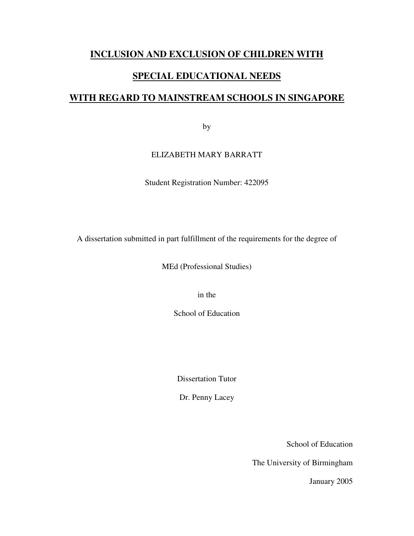### **INCLUSION AND EXCLUSION OF CHILDREN WITH**

### **SPECIAL EDUCATIONAL NEEDS**

### **WITH REGARD TO MAINSTREAM SCHOOLS IN SINGAPORE**

by

### ELIZABETH MARY BARRATT

Student Registration Number: 422095

A dissertation submitted in part fulfillment of the requirements for the degree of

MEd (Professional Studies)

in the

School of Education

Dissertation Tutor

Dr. Penny Lacey

School of Education

The University of Birmingham

January 2005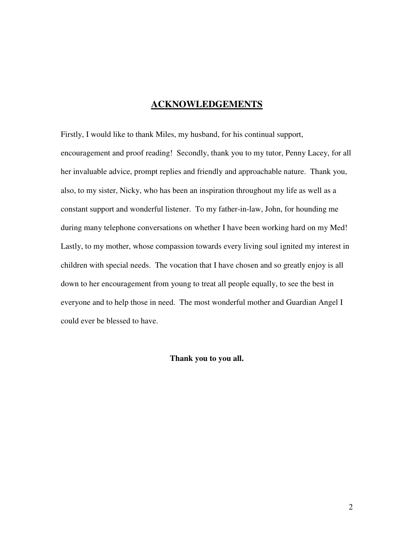### **ACKNOWLEDGEMENTS**

Firstly, I would like to thank Miles, my husband, for his continual support, encouragement and proof reading! Secondly, thank you to my tutor, Penny Lacey, for all her invaluable advice, prompt replies and friendly and approachable nature. Thank you, also, to my sister, Nicky, who has been an inspiration throughout my life as well as a constant support and wonderful listener. To my father-in-law, John, for hounding me during many telephone conversations on whether I have been working hard on my Med! Lastly, to my mother, whose compassion towards every living soul ignited my interest in children with special needs. The vocation that I have chosen and so greatly enjoy is all down to her encouragement from young to treat all people equally, to see the best in everyone and to help those in need. The most wonderful mother and Guardian Angel I could ever be blessed to have.

**Thank you to you all.**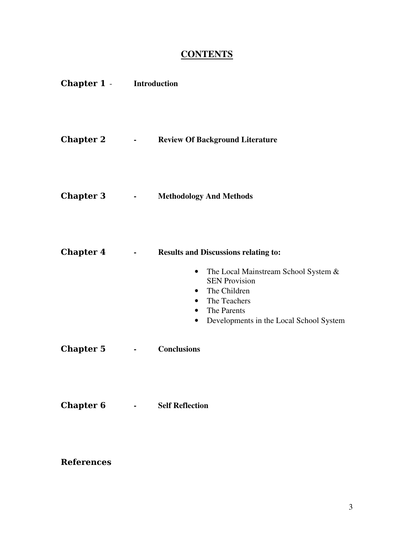## **CONTENTS**

| <b>Chapter 1 - Introduction</b> |                                               |                                                                                                                                                                                                                                       |
|---------------------------------|-----------------------------------------------|---------------------------------------------------------------------------------------------------------------------------------------------------------------------------------------------------------------------------------------|
| <b>Chapter 2</b>                | $\bullet$ - $\bullet$ - $\bullet$ - $\bullet$ | <b>Review Of Background Literature</b>                                                                                                                                                                                                |
| <b>Chapter 3</b>                | $\bullet$ - $\bullet$ - $\bullet$ - $\bullet$ | <b>Methodology And Methods</b>                                                                                                                                                                                                        |
| <b>Chapter 4</b>                | $\blacksquare$                                | <b>Results and Discussions relating to:</b><br>The Local Mainstream School System &<br>$\bullet$<br><b>SEN Provision</b><br>• The Children<br>• The Teachers<br>• The Parents<br>Developments in the Local School System<br>$\bullet$ |
| <b>Chapter 5</b>                | $\blacksquare$                                | <b>Conclusions</b>                                                                                                                                                                                                                    |
| <b>Chapter 6</b>                | $\bullet$ - $\bullet$ - $\bullet$ - $\bullet$ | <b>Self Reflection</b>                                                                                                                                                                                                                |

**References**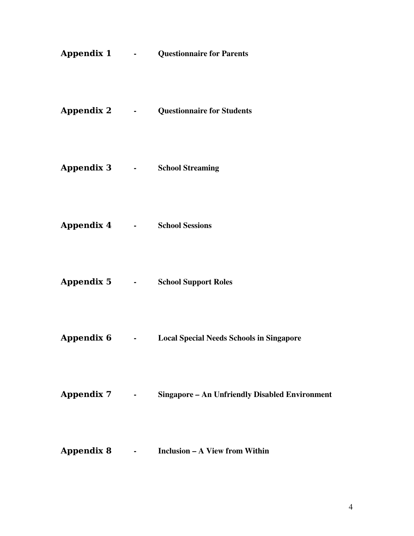|                                                                                                                |                                                           | <b>Appendix 1 - Questionnaire for Parents</b>         |
|----------------------------------------------------------------------------------------------------------------|-----------------------------------------------------------|-------------------------------------------------------|
|                                                                                                                |                                                           | <b>Appendix 2 - Questionnaire for Students</b>        |
| Appendix 3 and the Appendix 3 and 3 and 3 and 3 and 3 and 3 and 3 and 3 and 3 and 3 and 3 and 3 and 3 and 3 an |                                                           | <b>School Streaming</b>                               |
| Appendix 4 -                                                                                                   |                                                           | <b>School Sessions</b>                                |
| Appendix 5 -                                                                                                   |                                                           | <b>School Support Roles</b>                           |
| <b>Appendix 6</b>                                                                                              | <b>Contract Contract</b>                                  | <b>Local Special Needs Schools in Singapore</b>       |
| <b>Appendix 7</b>                                                                                              | $\bullet$ - $\bullet$ - $\bullet$ - $\bullet$ - $\bullet$ | <b>Singapore - An Unfriendly Disabled Environment</b> |
| <b>Appendix 8</b>                                                                                              | <b>All Contracts</b>                                      | <b>Inclusion – A View from Within</b>                 |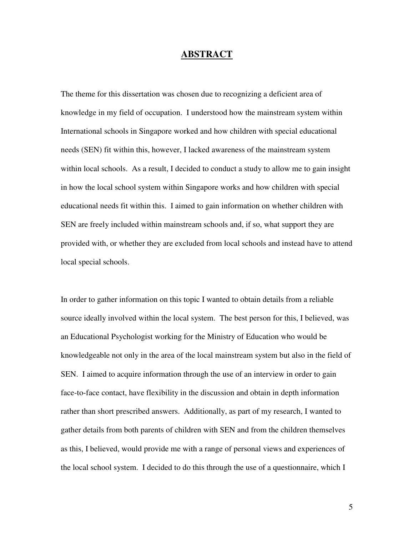### **ABSTRACT**

The theme for this dissertation was chosen due to recognizing a deficient area of knowledge in my field of occupation. I understood how the mainstream system within International schools in Singapore worked and how children with special educational needs (SEN) fit within this, however, I lacked awareness of the mainstream system within local schools. As a result, I decided to conduct a study to allow me to gain insight in how the local school system within Singapore works and how children with special educational needs fit within this. I aimed to gain information on whether children with SEN are freely included within mainstream schools and, if so, what support they are provided with, or whether they are excluded from local schools and instead have to attend local special schools.

In order to gather information on this topic I wanted to obtain details from a reliable source ideally involved within the local system. The best person for this, I believed, was an Educational Psychologist working for the Ministry of Education who would be knowledgeable not only in the area of the local mainstream system but also in the field of SEN. I aimed to acquire information through the use of an interview in order to gain face-to-face contact, have flexibility in the discussion and obtain in depth information rather than short prescribed answers. Additionally, as part of my research, I wanted to gather details from both parents of children with SEN and from the children themselves as this, I believed, would provide me with a range of personal views and experiences of the local school system. I decided to do this through the use of a questionnaire, which I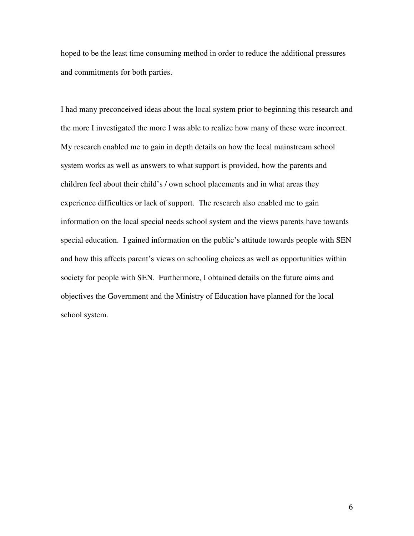hoped to be the least time consuming method in order to reduce the additional pressures and commitments for both parties.

I had many preconceived ideas about the local system prior to beginning this research and the more I investigated the more I was able to realize how many of these were incorrect. My research enabled me to gain in depth details on how the local mainstream school system works as well as answers to what support is provided, how the parents and children feel about their child's / own school placements and in what areas they experience difficulties or lack of support. The research also enabled me to gain information on the local special needs school system and the views parents have towards special education. I gained information on the public's attitude towards people with SEN and how this affects parent's views on schooling choices as well as opportunities within society for people with SEN. Furthermore, I obtained details on the future aims and objectives the Government and the Ministry of Education have planned for the local school system.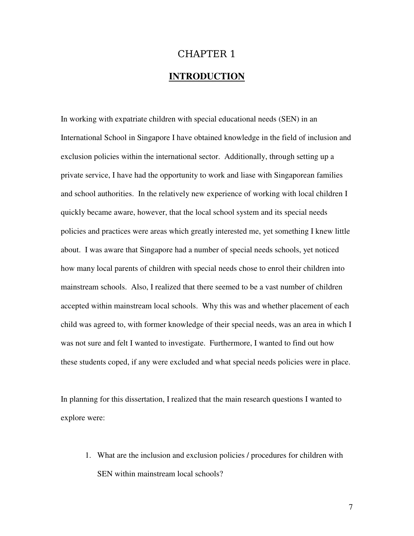# CHAPTER 1 **INTRODUCTION**

In working with expatriate children with special educational needs (SEN) in an International School in Singapore I have obtained knowledge in the field of inclusion and exclusion policies within the international sector. Additionally, through setting up a private service, I have had the opportunity to work and liase with Singaporean families and school authorities. In the relatively new experience of working with local children I quickly became aware, however, that the local school system and its special needs policies and practices were areas which greatly interested me, yet something I knew little about. I was aware that Singapore had a number of special needs schools, yet noticed how many local parents of children with special needs chose to enrol their children into mainstream schools. Also, I realized that there seemed to be a vast number of children accepted within mainstream local schools. Why this was and whether placement of each child was agreed to, with former knowledge of their special needs, was an area in which I was not sure and felt I wanted to investigate. Furthermore, I wanted to find out how these students coped, if any were excluded and what special needs policies were in place.

In planning for this dissertation, I realized that the main research questions I wanted to explore were:

1. What are the inclusion and exclusion policies / procedures for children with SEN within mainstream local schools?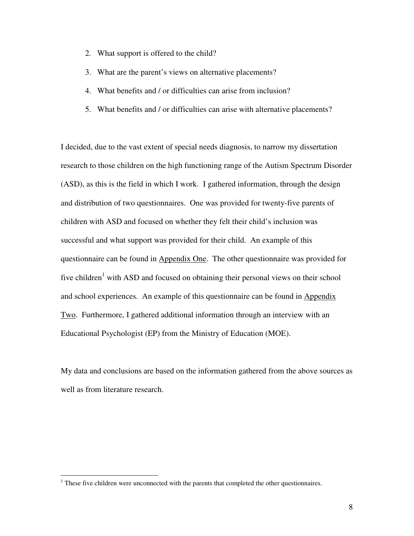- 2. What support is offered to the child?
- 3. What are the parent's views on alternative placements?
- 4. What benefits and / or difficulties can arise from inclusion?
- 5. What benefits and / or difficulties can arise with alternative placements?

I decided, due to the vast extent of special needs diagnosis, to narrow my dissertation research to those children on the high functioning range of the Autism Spectrum Disorder (ASD), as this is the field in which I work. I gathered information, through the design and distribution of two questionnaires. One was provided for twenty-five parents of children with ASD and focused on whether they felt their child's inclusion was successful and what support was provided for their child. An example of this questionnaire can be found in Appendix One. The other questionnaire was provided for five children<sup>1</sup> with ASD and focused on obtaining their personal views on their school and school experiences. An example of this questionnaire can be found in Appendix Two. Furthermore, I gathered additional information through an interview with an Educational Psychologist (EP) from the Ministry of Education (MOE).

My data and conclusions are based on the information gathered from the above sources as well as from literature research.

<sup>&</sup>lt;sup>1</sup> These five children were unconnected with the parents that completed the other questionnaires.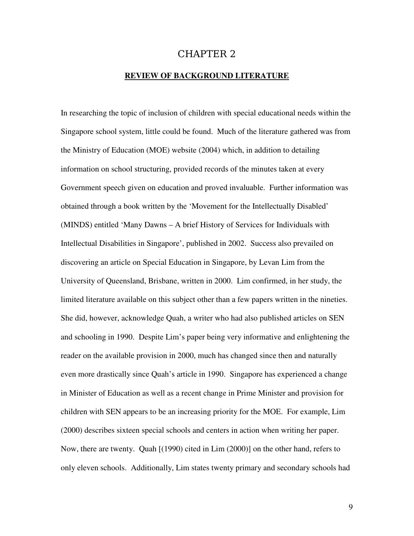### CHAPTER 2

#### **REVIEW OF BACKGROUND LITERATURE**

In researching the topic of inclusion of children with special educational needs within the Singapore school system, little could be found. Much of the literature gathered was from the Ministry of Education (MOE) website (2004) which, in addition to detailing information on school structuring, provided records of the minutes taken at every Government speech given on education and proved invaluable. Further information was obtained through a book written by the 'Movement for the Intellectually Disabled' (MINDS) entitled 'Many Dawns – A brief History of Services for Individuals with Intellectual Disabilities in Singapore', published in 2002. Success also prevailed on discovering an article on Special Education in Singapore, by Levan Lim from the University of Queensland, Brisbane, written in 2000. Lim confirmed, in her study, the limited literature available on this subject other than a few papers written in the nineties. She did, however, acknowledge Quah, a writer who had also published articles on SEN and schooling in 1990. Despite Lim's paper being very informative and enlightening the reader on the available provision in 2000, much has changed since then and naturally even more drastically since Quah's article in 1990. Singapore has experienced a change in Minister of Education as well as a recent change in Prime Minister and provision for children with SEN appears to be an increasing priority for the MOE. For example, Lim (2000) describes sixteen special schools and centers in action when writing her paper. Now, there are twenty. Quah [(1990) cited in Lim (2000)] on the other hand, refers to only eleven schools. Additionally, Lim states twenty primary and secondary schools had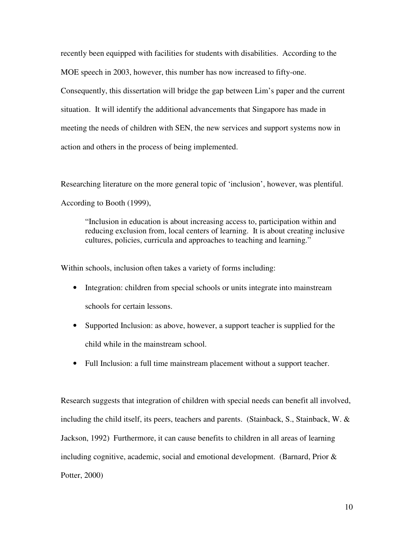recently been equipped with facilities for students with disabilities. According to the MOE speech in 2003, however, this number has now increased to fifty-one. Consequently, this dissertation will bridge the gap between Lim's paper and the current situation. It will identify the additional advancements that Singapore has made in meeting the needs of children with SEN, the new services and support systems now in action and others in the process of being implemented.

Researching literature on the more general topic of 'inclusion', however, was plentiful. According to Booth (1999),

"Inclusion in education is about increasing access to, participation within and reducing exclusion from, local centers of learning. It is about creating inclusive cultures, policies, curricula and approaches to teaching and learning."

Within schools, inclusion often takes a variety of forms including:

- Integration: children from special schools or units integrate into mainstream schools for certain lessons.
- Supported Inclusion: as above, however, a support teacher is supplied for the child while in the mainstream school.
- Full Inclusion: a full time mainstream placement without a support teacher.

Research suggests that integration of children with special needs can benefit all involved, including the child itself, its peers, teachers and parents. (Stainback, S., Stainback, W.  $\&$ Jackson, 1992) Furthermore, it can cause benefits to children in all areas of learning including cognitive, academic, social and emotional development. (Barnard, Prior  $\&$ Potter, 2000)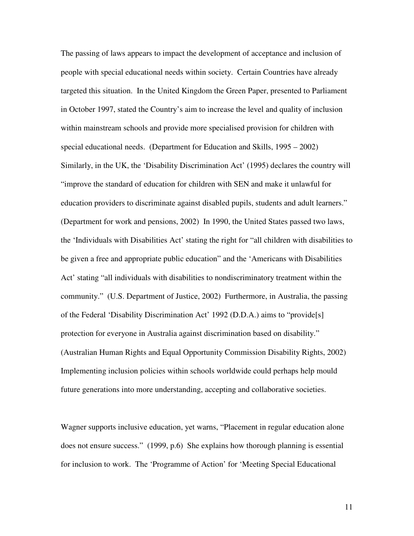The passing of laws appears to impact the development of acceptance and inclusion of people with special educational needs within society. Certain Countries have already targeted this situation. In the United Kingdom the Green Paper, presented to Parliament in October 1997, stated the Country's aim to increase the level and quality of inclusion within mainstream schools and provide more specialised provision for children with special educational needs. (Department for Education and Skills, 1995 – 2002) Similarly, in the UK, the 'Disability Discrimination Act' (1995) declares the country will "improve the standard of education for children with SEN and make it unlawful for education providers to discriminate against disabled pupils, students and adult learners." (Department for work and pensions, 2002) In 1990, the United States passed two laws, the 'Individuals with Disabilities Act' stating the right for "all children with disabilities to be given a free and appropriate public education" and the 'Americans with Disabilities Act' stating "all individuals with disabilities to nondiscriminatory treatment within the community." (U.S. Department of Justice, 2002) Furthermore, in Australia, the passing of the Federal 'Disability Discrimination Act' 1992 (D.D.A.) aims to "provide[s] protection for everyone in Australia against discrimination based on disability." (Australian Human Rights and Equal Opportunity Commission Disability Rights, 2002) Implementing inclusion policies within schools worldwide could perhaps help mould future generations into more understanding, accepting and collaborative societies.

Wagner supports inclusive education, yet warns, "Placement in regular education alone does not ensure success." (1999, p.6) She explains how thorough planning is essential for inclusion to work. The 'Programme of Action' for 'Meeting Special Educational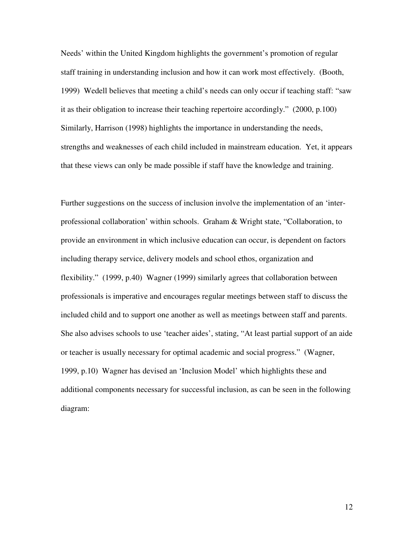Needs' within the United Kingdom highlights the government's promotion of regular staff training in understanding inclusion and how it can work most effectively. (Booth, 1999) Wedell believes that meeting a child's needs can only occur if teaching staff: "saw it as their obligation to increase their teaching repertoire accordingly." (2000, p.100) Similarly, Harrison (1998) highlights the importance in understanding the needs, strengths and weaknesses of each child included in mainstream education. Yet, it appears that these views can only be made possible if staff have the knowledge and training.

Further suggestions on the success of inclusion involve the implementation of an 'interprofessional collaboration' within schools. Graham & Wright state, "Collaboration, to provide an environment in which inclusive education can occur, is dependent on factors including therapy service, delivery models and school ethos, organization and flexibility." (1999, p.40) Wagner (1999) similarly agrees that collaboration between professionals is imperative and encourages regular meetings between staff to discuss the included child and to support one another as well as meetings between staff and parents. She also advises schools to use 'teacher aides', stating, "At least partial support of an aide or teacher is usually necessary for optimal academic and social progress." (Wagner, 1999, p.10) Wagner has devised an 'Inclusion Model' which highlights these and additional components necessary for successful inclusion, as can be seen in the following diagram: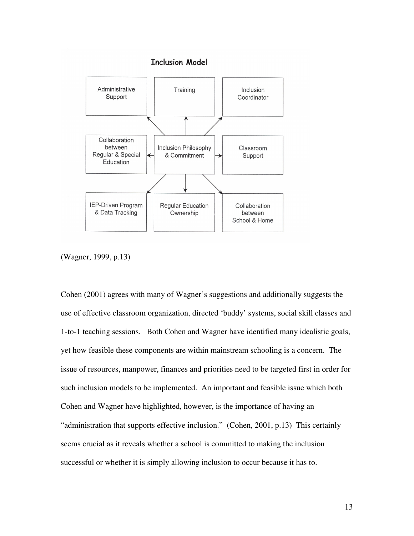

(Wagner, 1999, p.13)

Cohen (2001) agrees with many of Wagner's suggestions and additionally suggests the use of effective classroom organization, directed 'buddy' systems, social skill classes and 1-to-1 teaching sessions. Both Cohen and Wagner have identified many idealistic goals, yet how feasible these components are within mainstream schooling is a concern. The issue of resources, manpower, finances and priorities need to be targeted first in order for such inclusion models to be implemented. An important and feasible issue which both Cohen and Wagner have highlighted, however, is the importance of having an "administration that supports effective inclusion." (Cohen, 2001, p.13) This certainly seems crucial as it reveals whether a school is committed to making the inclusion successful or whether it is simply allowing inclusion to occur because it has to.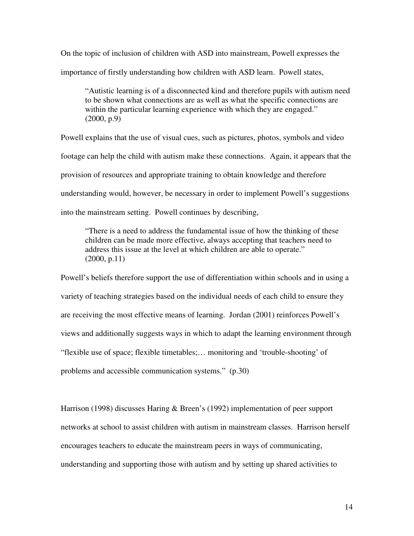On the topic of inclusion of children with ASD into mainstream, Powell expresses the importance of firstly understanding how children with ASD learn. Powell states,

"Autistic learning is of a disconnected kind and therefore pupils with autism need to be shown what connections are as well as what the specific connections are within the particular learning experience with which they are engaged." (2000, p.9)

Powell explains that the use of visual cues, such as pictures, photos, symbols and video footage can help the child with autism make these connections. Again, it appears that the provision of resources and appropriate training to obtain knowledge and therefore understanding would, however, be necessary in order to implement Powell's suggestions into the mainstream setting. Powell continues by describing,

"There is a need to address the fundamental issue of how the thinking of these children can be made more effective, always accepting that teachers need to address this issue at the level at which children are able to operate." (2000, p.11)

Powell's beliefs therefore support the use of differentiation within schools and in using a variety of teaching strategies based on the individual needs of each child to ensure they are receiving the most effective means of learning. Jordan (2001) reinforces Powell's views and additionally suggests ways in which to adapt the learning environment through "flexible use of space; flexible timetables;… monitoring and 'trouble-shooting' of problems and accessible communication systems." (p.30)

Harrison (1998) discusses Haring & Breen's (1992) implementation of peer support networks at school to assist children with autism in mainstream classes. Harrison herself encourages teachers to educate the mainstream peers in ways of communicating, understanding and supporting those with autism and by setting up shared activities to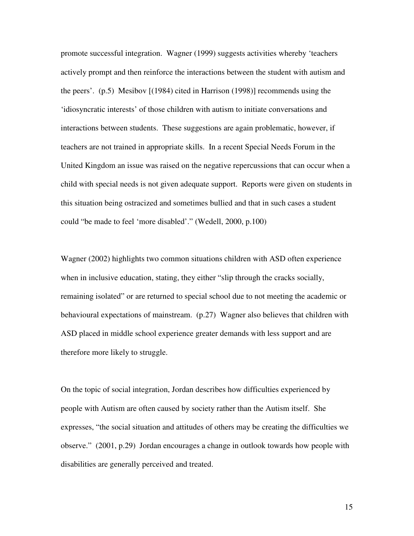promote successful integration. Wagner (1999) suggests activities whereby 'teachers actively prompt and then reinforce the interactions between the student with autism and the peers'. (p.5) Mesibov [(1984) cited in Harrison (1998)] recommends using the 'idiosyncratic interests' of those children with autism to initiate conversations and interactions between students. These suggestions are again problematic, however, if teachers are not trained in appropriate skills. In a recent Special Needs Forum in the United Kingdom an issue was raised on the negative repercussions that can occur when a child with special needs is not given adequate support. Reports were given on students in this situation being ostracized and sometimes bullied and that in such cases a student could "be made to feel 'more disabled'." (Wedell, 2000, p.100)

Wagner (2002) highlights two common situations children with ASD often experience when in inclusive education, stating, they either "slip through the cracks socially, remaining isolated" or are returned to special school due to not meeting the academic or behavioural expectations of mainstream. (p.27) Wagner also believes that children with ASD placed in middle school experience greater demands with less support and are therefore more likely to struggle.

On the topic of social integration, Jordan describes how difficulties experienced by people with Autism are often caused by society rather than the Autism itself. She expresses, "the social situation and attitudes of others may be creating the difficulties we observe." (2001, p.29) Jordan encourages a change in outlook towards how people with disabilities are generally perceived and treated.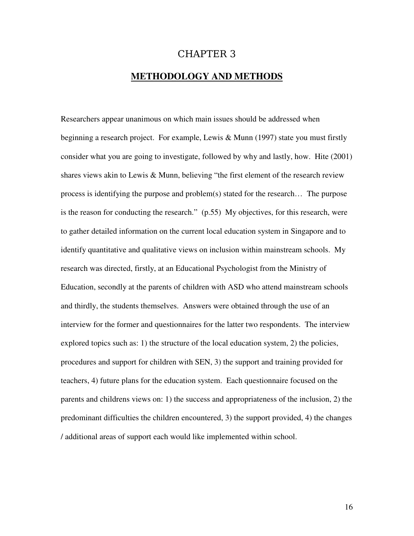### CHAPTER 3

### **METHODOLOGY AND METHODS**

Researchers appear unanimous on which main issues should be addressed when beginning a research project. For example, Lewis & Munn (1997) state you must firstly consider what you are going to investigate, followed by why and lastly, how. Hite (2001) shares views akin to Lewis & Munn, believing "the first element of the research review process is identifying the purpose and problem(s) stated for the research… The purpose is the reason for conducting the research." (p.55) My objectives, for this research, were to gather detailed information on the current local education system in Singapore and to identify quantitative and qualitative views on inclusion within mainstream schools. My research was directed, firstly, at an Educational Psychologist from the Ministry of Education, secondly at the parents of children with ASD who attend mainstream schools and thirdly, the students themselves. Answers were obtained through the use of an interview for the former and questionnaires for the latter two respondents. The interview explored topics such as: 1) the structure of the local education system, 2) the policies, procedures and support for children with SEN, 3) the support and training provided for teachers, 4) future plans for the education system. Each questionnaire focused on the parents and childrens views on: 1) the success and appropriateness of the inclusion, 2) the predominant difficulties the children encountered, 3) the support provided, 4) the changes / additional areas of support each would like implemented within school.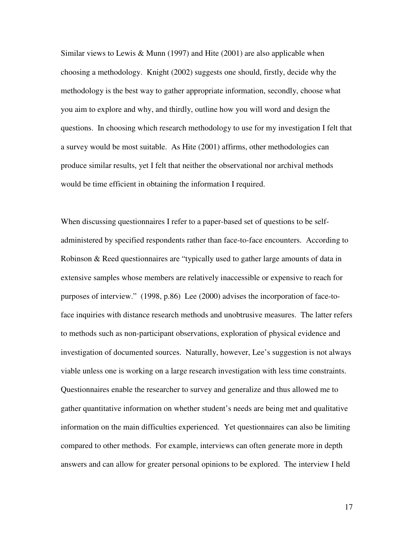Similar views to Lewis & Munn (1997) and Hite (2001) are also applicable when choosing a methodology. Knight (2002) suggests one should, firstly, decide why the methodology is the best way to gather appropriate information, secondly, choose what you aim to explore and why, and thirdly, outline how you will word and design the questions. In choosing which research methodology to use for my investigation I felt that a survey would be most suitable. As Hite (2001) affirms, other methodologies can produce similar results, yet I felt that neither the observational nor archival methods would be time efficient in obtaining the information I required.

When discussing questionnaires I refer to a paper-based set of questions to be selfadministered by specified respondents rather than face-to-face encounters. According to Robinson & Reed questionnaires are "typically used to gather large amounts of data in extensive samples whose members are relatively inaccessible or expensive to reach for purposes of interview." (1998, p.86) Lee (2000) advises the incorporation of face-toface inquiries with distance research methods and unobtrusive measures. The latter refers to methods such as non-participant observations, exploration of physical evidence and investigation of documented sources. Naturally, however, Lee's suggestion is not always viable unless one is working on a large research investigation with less time constraints. Questionnaires enable the researcher to survey and generalize and thus allowed me to gather quantitative information on whether student's needs are being met and qualitative information on the main difficulties experienced. Yet questionnaires can also be limiting compared to other methods. For example, interviews can often generate more in depth answers and can allow for greater personal opinions to be explored. The interview I held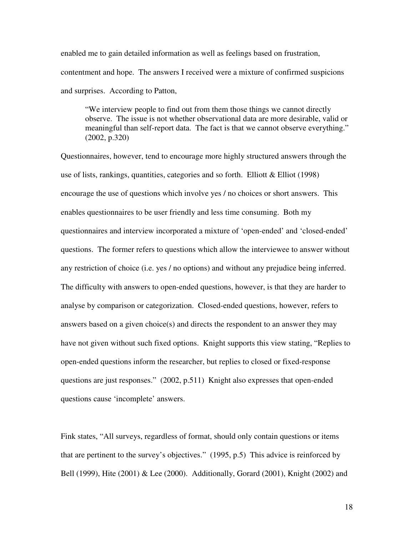enabled me to gain detailed information as well as feelings based on frustration, contentment and hope. The answers I received were a mixture of confirmed suspicions and surprises. According to Patton,

"We interview people to find out from them those things we cannot directly observe. The issue is not whether observational data are more desirable, valid or meaningful than self-report data. The fact is that we cannot observe everything." (2002, p.320)

Questionnaires, however, tend to encourage more highly structured answers through the use of lists, rankings, quantities, categories and so forth. Elliott  $&$  Elliot (1998) encourage the use of questions which involve yes / no choices or short answers. This enables questionnaires to be user friendly and less time consuming. Both my questionnaires and interview incorporated a mixture of 'open-ended' and 'closed-ended' questions. The former refers to questions which allow the interviewee to answer without any restriction of choice (i.e. yes / no options) and without any prejudice being inferred. The difficulty with answers to open-ended questions, however, is that they are harder to analyse by comparison or categorization. Closed-ended questions, however, refers to answers based on a given choice(s) and directs the respondent to an answer they may have not given without such fixed options. Knight supports this view stating, "Replies to open-ended questions inform the researcher, but replies to closed or fixed-response questions are just responses." (2002, p.511) Knight also expresses that open-ended questions cause 'incomplete' answers.

Fink states, "All surveys, regardless of format, should only contain questions or items that are pertinent to the survey's objectives." (1995, p.5) This advice is reinforced by Bell (1999), Hite (2001) & Lee (2000). Additionally, Gorard (2001), Knight (2002) and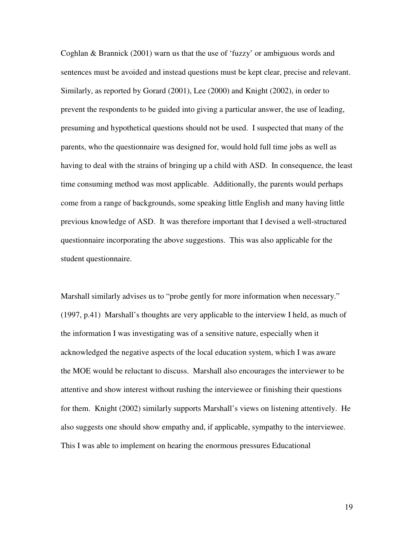Coghlan & Brannick (2001) warn us that the use of 'fuzzy' or ambiguous words and sentences must be avoided and instead questions must be kept clear, precise and relevant. Similarly, as reported by Gorard (2001), Lee (2000) and Knight (2002), in order to prevent the respondents to be guided into giving a particular answer, the use of leading, presuming and hypothetical questions should not be used. I suspected that many of the parents, who the questionnaire was designed for, would hold full time jobs as well as having to deal with the strains of bringing up a child with ASD. In consequence, the least time consuming method was most applicable. Additionally, the parents would perhaps come from a range of backgrounds, some speaking little English and many having little previous knowledge of ASD. It was therefore important that I devised a well-structured questionnaire incorporating the above suggestions. This was also applicable for the student questionnaire.

Marshall similarly advises us to "probe gently for more information when necessary." (1997, p.41) Marshall's thoughts are very applicable to the interview I held, as much of the information I was investigating was of a sensitive nature, especially when it acknowledged the negative aspects of the local education system, which I was aware the MOE would be reluctant to discuss. Marshall also encourages the interviewer to be attentive and show interest without rushing the interviewee or finishing their questions for them. Knight (2002) similarly supports Marshall's views on listening attentively. He also suggests one should show empathy and, if applicable, sympathy to the interviewee. This I was able to implement on hearing the enormous pressures Educational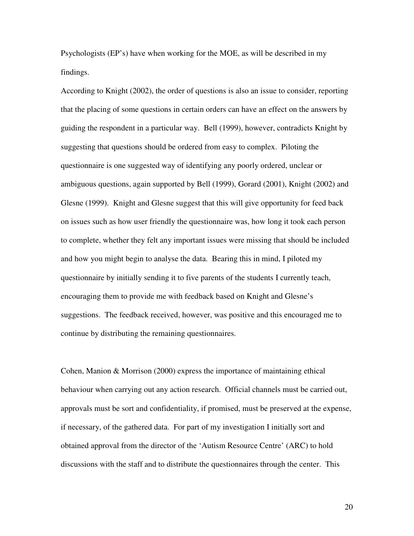Psychologists (EP's) have when working for the MOE, as will be described in my findings.

According to Knight (2002), the order of questions is also an issue to consider, reporting that the placing of some questions in certain orders can have an effect on the answers by guiding the respondent in a particular way. Bell (1999), however, contradicts Knight by suggesting that questions should be ordered from easy to complex. Piloting the questionnaire is one suggested way of identifying any poorly ordered, unclear or ambiguous questions, again supported by Bell (1999), Gorard (2001), Knight (2002) and Glesne (1999). Knight and Glesne suggest that this will give opportunity for feed back on issues such as how user friendly the questionnaire was, how long it took each person to complete, whether they felt any important issues were missing that should be included and how you might begin to analyse the data. Bearing this in mind, I piloted my questionnaire by initially sending it to five parents of the students I currently teach, encouraging them to provide me with feedback based on Knight and Glesne's suggestions. The feedback received, however, was positive and this encouraged me to continue by distributing the remaining questionnaires.

Cohen, Manion & Morrison (2000) express the importance of maintaining ethical behaviour when carrying out any action research. Official channels must be carried out, approvals must be sort and confidentiality, if promised, must be preserved at the expense, if necessary, of the gathered data. For part of my investigation I initially sort and obtained approval from the director of the 'Autism Resource Centre' (ARC) to hold discussions with the staff and to distribute the questionnaires through the center. This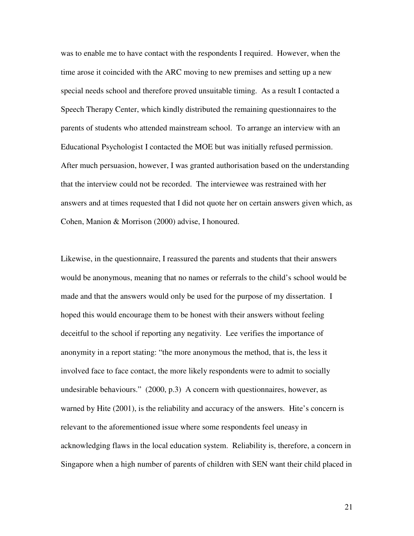was to enable me to have contact with the respondents I required. However, when the time arose it coincided with the ARC moving to new premises and setting up a new special needs school and therefore proved unsuitable timing. As a result I contacted a Speech Therapy Center, which kindly distributed the remaining questionnaires to the parents of students who attended mainstream school. To arrange an interview with an Educational Psychologist I contacted the MOE but was initially refused permission. After much persuasion, however, I was granted authorisation based on the understanding that the interview could not be recorded. The interviewee was restrained with her answers and at times requested that I did not quote her on certain answers given which, as Cohen, Manion & Morrison (2000) advise, I honoured.

Likewise, in the questionnaire, I reassured the parents and students that their answers would be anonymous, meaning that no names or referrals to the child's school would be made and that the answers would only be used for the purpose of my dissertation. I hoped this would encourage them to be honest with their answers without feeling deceitful to the school if reporting any negativity. Lee verifies the importance of anonymity in a report stating: "the more anonymous the method, that is, the less it involved face to face contact, the more likely respondents were to admit to socially undesirable behaviours." (2000, p.3) A concern with questionnaires, however, as warned by Hite (2001), is the reliability and accuracy of the answers. Hite's concern is relevant to the aforementioned issue where some respondents feel uneasy in acknowledging flaws in the local education system. Reliability is, therefore, a concern in Singapore when a high number of parents of children with SEN want their child placed in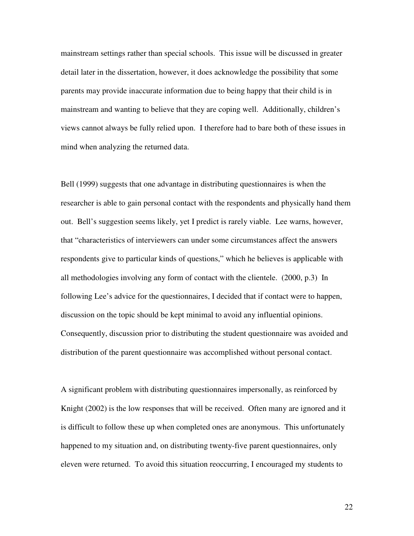mainstream settings rather than special schools. This issue will be discussed in greater detail later in the dissertation, however, it does acknowledge the possibility that some parents may provide inaccurate information due to being happy that their child is in mainstream and wanting to believe that they are coping well. Additionally, children's views cannot always be fully relied upon. I therefore had to bare both of these issues in mind when analyzing the returned data.

Bell (1999) suggests that one advantage in distributing questionnaires is when the researcher is able to gain personal contact with the respondents and physically hand them out. Bell's suggestion seems likely, yet I predict is rarely viable. Lee warns, however, that "characteristics of interviewers can under some circumstances affect the answers respondents give to particular kinds of questions," which he believes is applicable with all methodologies involving any form of contact with the clientele. (2000, p.3) In following Lee's advice for the questionnaires, I decided that if contact were to happen, discussion on the topic should be kept minimal to avoid any influential opinions. Consequently, discussion prior to distributing the student questionnaire was avoided and distribution of the parent questionnaire was accomplished without personal contact.

A significant problem with distributing questionnaires impersonally, as reinforced by Knight (2002) is the low responses that will be received. Often many are ignored and it is difficult to follow these up when completed ones are anonymous. This unfortunately happened to my situation and, on distributing twenty-five parent questionnaires, only eleven were returned. To avoid this situation reoccurring, I encouraged my students to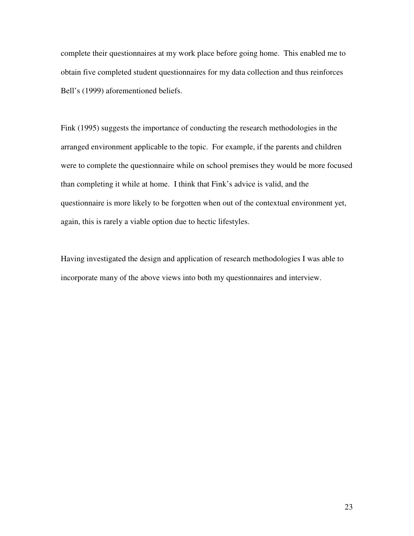complete their questionnaires at my work place before going home. This enabled me to obtain five completed student questionnaires for my data collection and thus reinforces Bell's (1999) aforementioned beliefs.

Fink (1995) suggests the importance of conducting the research methodologies in the arranged environment applicable to the topic. For example, if the parents and children were to complete the questionnaire while on school premises they would be more focused than completing it while at home. I think that Fink's advice is valid, and the questionnaire is more likely to be forgotten when out of the contextual environment yet, again, this is rarely a viable option due to hectic lifestyles.

Having investigated the design and application of research methodologies I was able to incorporate many of the above views into both my questionnaires and interview.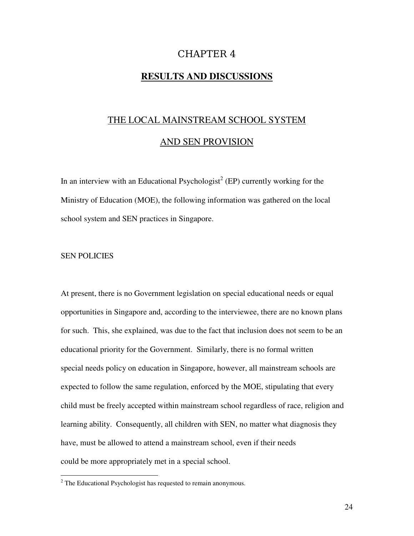### CHAPTER 4

### **RESULTS AND DISCUSSIONS**

### THE LOCAL MAINSTREAM SCHOOL SYSTEM

### AND SEN PROVISION

In an interview with an Educational Psychologist<sup>2</sup> (EP) currently working for the Ministry of Education (MOE), the following information was gathered on the local school system and SEN practices in Singapore.

#### SEN POLICIES

At present, there is no Government legislation on special educational needs or equal opportunities in Singapore and, according to the interviewee, there are no known plans for such. This, she explained, was due to the fact that inclusion does not seem to be an educational priority for the Government. Similarly, there is no formal written special needs policy on education in Singapore, however, all mainstream schools are expected to follow the same regulation, enforced by the MOE, stipulating that every child must be freely accepted within mainstream school regardless of race, religion and learning ability. Consequently, all children with SEN, no matter what diagnosis they have, must be allowed to attend a mainstream school, even if their needs could be more appropriately met in a special school.

 $2^2$  The Educational Psychologist has requested to remain anonymous.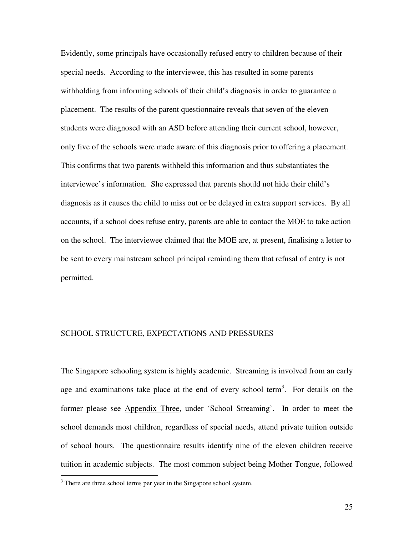Evidently, some principals have occasionally refused entry to children because of their special needs. According to the interviewee, this has resulted in some parents withholding from informing schools of their child's diagnosis in order to guarantee a placement. The results of the parent questionnaire reveals that seven of the eleven students were diagnosed with an ASD before attending their current school, however, only five of the schools were made aware of this diagnosis prior to offering a placement. This confirms that two parents withheld this information and thus substantiates the interviewee's information. She expressed that parents should not hide their child's diagnosis as it causes the child to miss out or be delayed in extra support services. By all accounts, if a school does refuse entry, parents are able to contact the MOE to take action on the school. The interviewee claimed that the MOE are, at present, finalising a letter to be sent to every mainstream school principal reminding them that refusal of entry is not permitted.

#### SCHOOL STRUCTURE, EXPECTATIONS AND PRESSURES

The Singapore schooling system is highly academic. Streaming is involved from an early age and examinations take place at the end of every school term *3* . For details on the former please see Appendix Three, under 'School Streaming'. In order to meet the school demands most children, regardless of special needs, attend private tuition outside of school hours. The questionnaire results identify nine of the eleven children receive tuition in academic subjects. The most common subject being Mother Tongue, followed

 $3$  There are three school terms per year in the Singapore school system.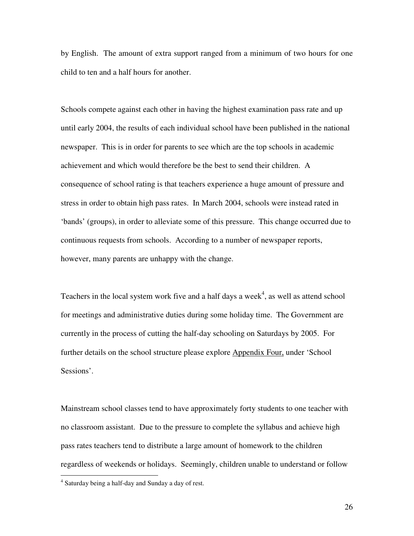by English. The amount of extra support ranged from a minimum of two hours for one child to ten and a half hours for another.

Schools compete against each other in having the highest examination pass rate and up until early 2004, the results of each individual school have been published in the national newspaper. This is in order for parents to see which are the top schools in academic achievement and which would therefore be the best to send their children. A consequence of school rating is that teachers experience a huge amount of pressure and stress in order to obtain high pass rates. In March 2004, schools were instead rated in 'bands' (groups), in order to alleviate some of this pressure. This change occurred due to continuous requests from schools. According to a number of newspaper reports, however, many parents are unhappy with the change.

Teachers in the local system work five and a half days a week $\alpha$ <sup>4</sup>, as well as attend school for meetings and administrative duties during some holiday time. The Government are currently in the process of cutting the half-day schooling on Saturdays by 2005. For further details on the school structure please explore Appendix Four, under 'School Sessions'.

Mainstream school classes tend to have approximately forty students to one teacher with no classroom assistant. Due to the pressure to complete the syllabus and achieve high pass rates teachers tend to distribute a large amount of homework to the children regardless of weekends or holidays. Seemingly, children unable to understand or follow

<sup>&</sup>lt;sup>4</sup> Saturday being a half-day and Sunday a day of rest.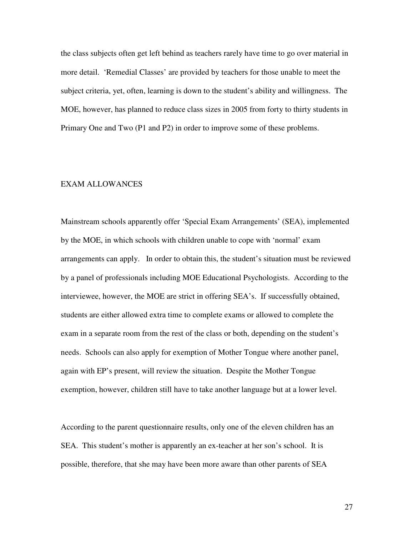the class subjects often get left behind as teachers rarely have time to go over material in more detail. 'Remedial Classes' are provided by teachers for those unable to meet the subject criteria, yet, often, learning is down to the student's ability and willingness. The MOE, however, has planned to reduce class sizes in 2005 from forty to thirty students in Primary One and Two (P1 and P2) in order to improve some of these problems.

#### EXAM ALLOWANCES

Mainstream schools apparently offer 'Special Exam Arrangements' (SEA), implemented by the MOE, in which schools with children unable to cope with 'normal' exam arrangements can apply. In order to obtain this, the student's situation must be reviewed by a panel of professionals including MOE Educational Psychologists. According to the interviewee, however, the MOE are strict in offering SEA's. If successfully obtained, students are either allowed extra time to complete exams or allowed to complete the exam in a separate room from the rest of the class or both, depending on the student's needs. Schools can also apply for exemption of Mother Tongue where another panel, again with EP's present, will review the situation. Despite the Mother Tongue exemption, however, children still have to take another language but at a lower level.

According to the parent questionnaire results, only one of the eleven children has an SEA. This student's mother is apparently an ex-teacher at her son's school. It is possible, therefore, that she may have been more aware than other parents of SEA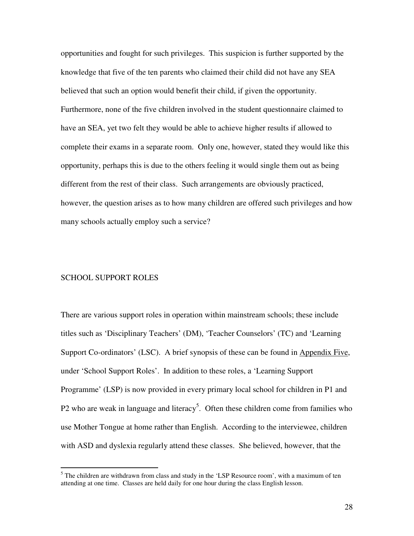opportunities and fought for such privileges. This suspicion is further supported by the knowledge that five of the ten parents who claimed their child did not have any SEA believed that such an option would benefit their child, if given the opportunity. Furthermore, none of the five children involved in the student questionnaire claimed to have an SEA, yet two felt they would be able to achieve higher results if allowed to complete their exams in a separate room. Only one, however, stated they would like this opportunity, perhaps this is due to the others feeling it would single them out as being different from the rest of their class. Such arrangements are obviously practiced, however, the question arises as to how many children are offered such privileges and how many schools actually employ such a service?

#### SCHOOL SUPPORT ROLES

There are various support roles in operation within mainstream schools; these include titles such as 'Disciplinary Teachers' (DM), 'Teacher Counselors' (TC) and 'Learning Support Co-ordinators' (LSC). A brief synopsis of these can be found in Appendix Five, under 'School Support Roles'. In addition to these roles, a 'Learning Support Programme' (LSP) is now provided in every primary local school for children in P1 and P2 who are weak in language and literacy<sup>5</sup>. Often these children come from families who use Mother Tongue at home rather than English. According to the interviewee, children with ASD and dyslexia regularly attend these classes. She believed, however, that the

 $<sup>5</sup>$  The children are withdrawn from class and study in the 'LSP Resource room', with a maximum of ten</sup> attending at one time. Classes are held daily for one hour during the class English lesson.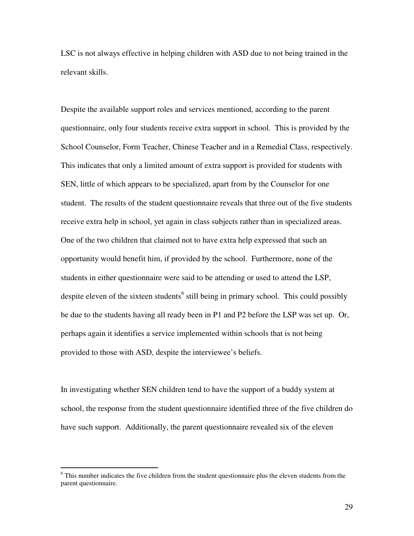LSC is not always effective in helping children with ASD due to not being trained in the relevant skills.

Despite the available support roles and services mentioned, according to the parent questionnaire, only four students receive extra support in school. This is provided by the School Counselor, Form Teacher, Chinese Teacher and in a Remedial Class, respectively. This indicates that only a limited amount of extra support is provided for students with SEN, little of which appears to be specialized, apart from by the Counselor for one student. The results of the student questionnaire reveals that three out of the five students receive extra help in school, yet again in class subjects rather than in specialized areas. One of the two children that claimed not to have extra help expressed that such an opportunity would benefit him, if provided by the school. Furthermore, none of the students in either questionnaire were said to be attending or used to attend the LSP, despite eleven of the sixteen students<sup>6</sup> still being in primary school. This could possibly be due to the students having all ready been in P1 and P2 before the LSP was set up. Or, perhaps again it identifies a service implemented within schools that is not being provided to those with ASD, despite the interviewee's beliefs.

In investigating whether SEN children tend to have the support of a buddy system at school, the response from the student questionnaire identified three of the five children do have such support. Additionally, the parent questionnaire revealed six of the eleven

<sup>&</sup>lt;sup>6</sup> This number indicates the five children from the student questionnaire plus the eleven students from the parent questionnaire.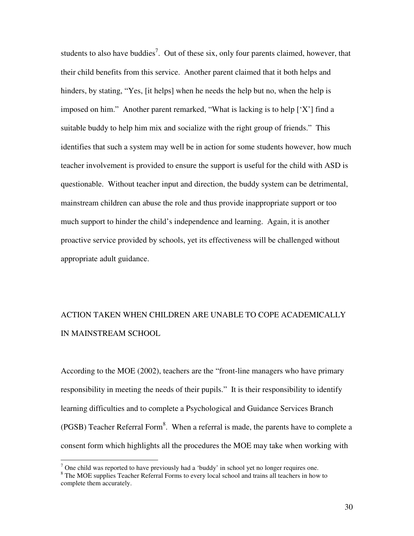students to also have buddies<sup>7</sup>. Out of these six, only four parents claimed, however, that their child benefits from this service. Another parent claimed that it both helps and hinders, by stating, "Yes, [it helps] when he needs the help but no, when the help is imposed on him." Another parent remarked, "What is lacking is to help  $[X']$  find a suitable buddy to help him mix and socialize with the right group of friends." This identifies that such a system may well be in action for some students however, how much teacher involvement is provided to ensure the support is useful for the child with ASD is questionable. Without teacher input and direction, the buddy system can be detrimental, mainstream children can abuse the role and thus provide inappropriate support or too much support to hinder the child's independence and learning. Again, it is another proactive service provided by schools, yet its effectiveness will be challenged without appropriate adult guidance.

# ACTION TAKEN WHEN CHILDREN ARE UNABLE TO COPE ACADEMICALLY IN MAINSTREAM SCHOOL

According to the MOE (2002), teachers are the "front-line managers who have primary responsibility in meeting the needs of their pupils." It is their responsibility to identify learning difficulties and to complete a Psychological and Guidance Services Branch (PGSB) Teacher Referral Form<sup>8</sup>. When a referral is made, the parents have to complete a consent form which highlights all the procedures the MOE may take when working with

<sup>&</sup>lt;sup>7</sup> One child was reported to have previously had a 'buddy' in school yet no longer requires one. <sup>8</sup> The MOE supplies Teacher Referral Forms to every local school and trains all teachers in how to complete them accurately.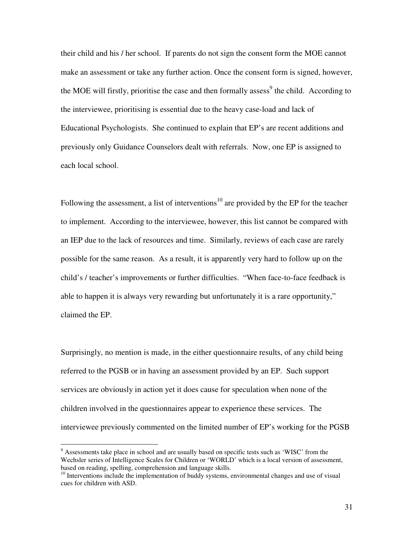their child and his / her school. If parents do not sign the consent form the MOE cannot make an assessment or take any further action. Once the consent form is signed, however, the MOE will firstly, prioritise the case and then formally assess<sup>9</sup> the child. According to the interviewee, prioritising is essential due to the heavy case-load and lack of Educational Psychologists. She continued to explain that EP's are recent additions and previously only Guidance Counselors dealt with referrals. Now, one EP is assigned to each local school.

Following the assessment, a list of interventions<sup>10</sup> are provided by the EP for the teacher to implement. According to the interviewee, however, this list cannot be compared with an IEP due to the lack of resources and time. Similarly, reviews of each case are rarely possible for the same reason. As a result, it is apparently very hard to follow up on the child's / teacher's improvements or further difficulties. "When face-to-face feedback is able to happen it is always very rewarding but unfortunately it is a rare opportunity," claimed the EP.

Surprisingly, no mention is made, in the either questionnaire results, of any child being referred to the PGSB or in having an assessment provided by an EP. Such support services are obviously in action yet it does cause for speculation when none of the children involved in the questionnaires appear to experience these services. The interviewee previously commented on the limited number of EP's working for the PGSB

<sup>&</sup>lt;sup>9</sup> Assessments take place in school and are usually based on specific tests such as 'WISC' from the Wechsler series of Intelligence Scales for Children or 'WORLD' which is a local version of assessment, based on reading, spelling, comprehension and language skills.

<sup>&</sup>lt;sup>10</sup> Interventions include the implementation of buddy systems, environmental changes and use of visual cues for children with ASD.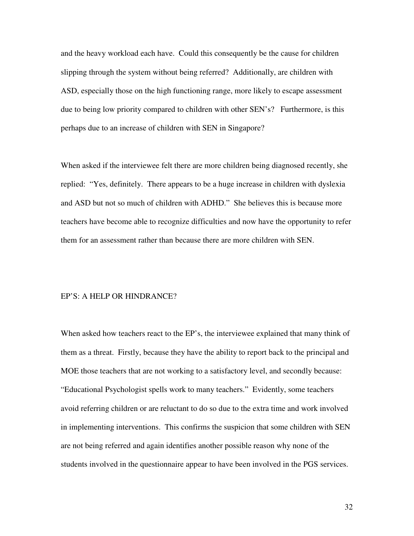and the heavy workload each have. Could this consequently be the cause for children slipping through the system without being referred? Additionally, are children with ASD, especially those on the high functioning range, more likely to escape assessment due to being low priority compared to children with other SEN's? Furthermore, is this perhaps due to an increase of children with SEN in Singapore?

When asked if the interviewee felt there are more children being diagnosed recently, she replied: "Yes, definitely. There appears to be a huge increase in children with dyslexia and ASD but not so much of children with ADHD." She believes this is because more teachers have become able to recognize difficulties and now have the opportunity to refer them for an assessment rather than because there are more children with SEN.

#### EP'S: A HELP OR HINDRANCE?

When asked how teachers react to the EP's, the interviewee explained that many think of them as a threat. Firstly, because they have the ability to report back to the principal and MOE those teachers that are not working to a satisfactory level, and secondly because: "Educational Psychologist spells work to many teachers." Evidently, some teachers avoid referring children or are reluctant to do so due to the extra time and work involved in implementing interventions. This confirms the suspicion that some children with SEN are not being referred and again identifies another possible reason why none of the students involved in the questionnaire appear to have been involved in the PGS services.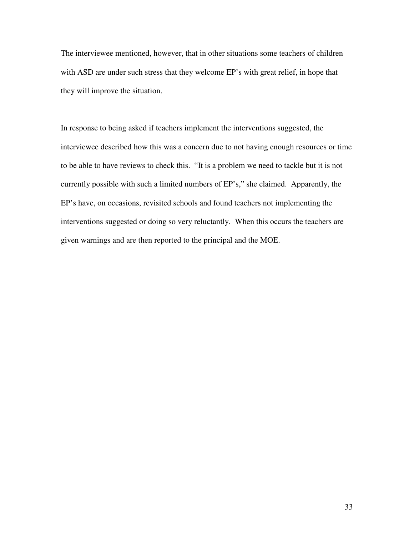The interviewee mentioned, however, that in other situations some teachers of children with ASD are under such stress that they welcome EP's with great relief, in hope that they will improve the situation.

In response to being asked if teachers implement the interventions suggested, the interviewee described how this was a concern due to not having enough resources or time to be able to have reviews to check this. "It is a problem we need to tackle but it is not currently possible with such a limited numbers of EP's," she claimed. Apparently, the EP's have, on occasions, revisited schools and found teachers not implementing the interventions suggested or doing so very reluctantly. When this occurs the teachers are given warnings and are then reported to the principal and the MOE.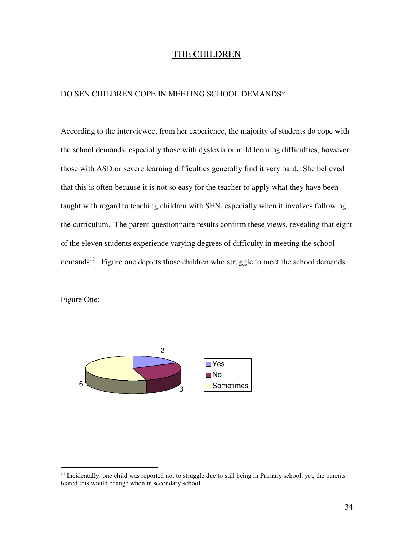### THE CHILDREN

#### DO SEN CHILDREN COPE IN MEETING SCHOOL DEMANDS?

According to the interviewee, from her experience, the majority of students do cope with the school demands, especially those with dyslexia or mild learning difficulties, however those with ASD or severe learning difficulties generally find it very hard. She believed that this is often because it is not so easy for the teacher to apply what they have been taught with regard to teaching children with SEN, especially when it involves following the curriculum. The parent questionnaire results confirm these views, revealing that eight of the eleven students experience varying degrees of difficulty in meeting the school demands<sup>11</sup>. Figure one depicts those children who struggle to meet the school demands.

Figure One:



<sup>&</sup>lt;sup>11</sup> Incidentally, one child was reported not to struggle due to still being in Primary school, yet, the parents feared this would change when in secondary school.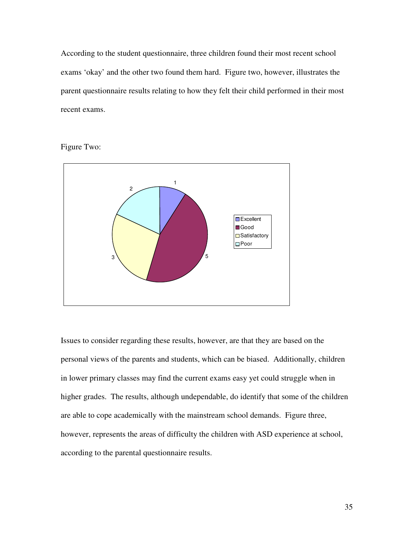According to the student questionnaire, three children found their most recent school exams 'okay' and the other two found them hard. Figure two, however, illustrates the parent questionnaire results relating to how they felt their child performed in their most recent exams.

Figure Two:



Issues to consider regarding these results, however, are that they are based on the personal views of the parents and students, which can be biased. Additionally, children in lower primary classes may find the current exams easy yet could struggle when in higher grades. The results, although undependable, do identify that some of the children are able to cope academically with the mainstream school demands. Figure three, however, represents the areas of difficulty the children with ASD experience at school, according to the parental questionnaire results.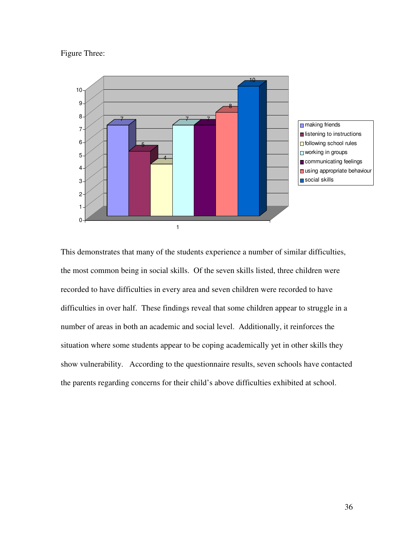#### Figure Three:



This demonstrates that many of the students experience a number of similar difficulties, the most common being in social skills. Of the seven skills listed, three children were recorded to have difficulties in every area and seven children were recorded to have difficulties in over half. These findings reveal that some children appear to struggle in a number of areas in both an academic and social level. Additionally, it reinforces the situation where some students appear to be coping academically yet in other skills they show vulnerability. According to the questionnaire results, seven schools have contacted the parents regarding concerns for their child's above difficulties exhibited at school.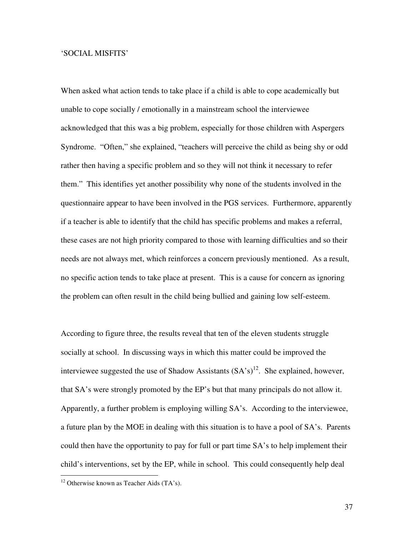#### 'SOCIAL MISFITS'

When asked what action tends to take place if a child is able to cope academically but unable to cope socially / emotionally in a mainstream school the interviewee acknowledged that this was a big problem, especially for those children with Aspergers Syndrome. "Often," she explained, "teachers will perceive the child as being shy or odd rather then having a specific problem and so they will not think it necessary to refer them." This identifies yet another possibility why none of the students involved in the questionnaire appear to have been involved in the PGS services. Furthermore, apparently if a teacher is able to identify that the child has specific problems and makes a referral, these cases are not high priority compared to those with learning difficulties and so their needs are not always met, which reinforces a concern previously mentioned. As a result, no specific action tends to take place at present. This is a cause for concern as ignoring the problem can often result in the child being bullied and gaining low self-esteem.

According to figure three, the results reveal that ten of the eleven students struggle socially at school. In discussing ways in which this matter could be improved the interviewee suggested the use of Shadow Assistants  $(SA's)^{12}$ . She explained, however, that SA's were strongly promoted by the EP's but that many principals do not allow it. Apparently, a further problem is employing willing SA's. According to the interviewee, a future plan by the MOE in dealing with this situation is to have a pool of SA's. Parents could then have the opportunity to pay for full or part time SA's to help implement their child's interventions, set by the EP, while in school. This could consequently help deal

 $12$  Otherwise known as Teacher Aids (TA's).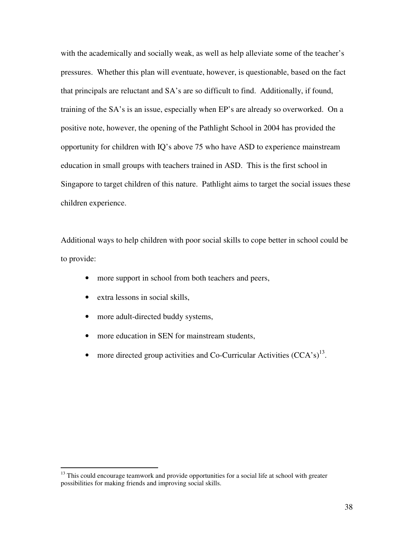with the academically and socially weak, as well as help alleviate some of the teacher's pressures. Whether this plan will eventuate, however, is questionable, based on the fact that principals are reluctant and SA's are so difficult to find. Additionally, if found, training of the SA's is an issue, especially when EP's are already so overworked. On a positive note, however, the opening of the Pathlight School in 2004 has provided the opportunity for children with IQ's above 75 who have ASD to experience mainstream education in small groups with teachers trained in ASD. This is the first school in Singapore to target children of this nature. Pathlight aims to target the social issues these children experience.

Additional ways to help children with poor social skills to cope better in school could be to provide:

- more support in school from both teachers and peers,
- extra lessons in social skills,
- more adult-directed buddy systems,
- more education in SEN for mainstream students,
- more directed group activities and Co-Curricular Activities  $(CCA^s)^{13}$ .

<sup>&</sup>lt;sup>13</sup> This could encourage teamwork and provide opportunities for a social life at school with greater possibilities for making friends and improving social skills.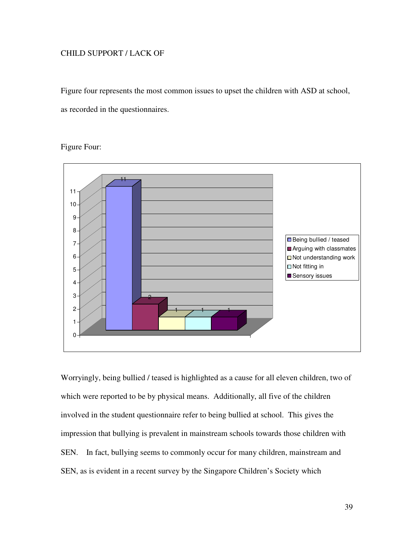### CHILD SUPPORT / LACK OF

Figure four represents the most common issues to upset the children with ASD at school, as recorded in the questionnaires.

### Figure Four:



Worryingly, being bullied / teased is highlighted as a cause for all eleven children, two of which were reported to be by physical means. Additionally, all five of the children involved in the student questionnaire refer to being bullied at school. This gives the impression that bullying is prevalent in mainstream schools towards those children with SEN. In fact, bullying seems to commonly occur for many children, mainstream and SEN, as is evident in a recent survey by the Singapore Children's Society which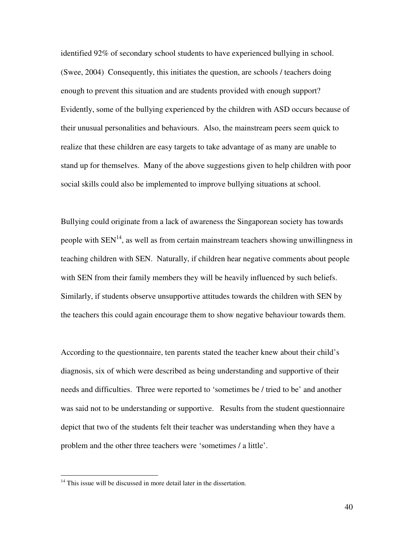identified 92% of secondary school students to have experienced bullying in school. (Swee, 2004) Consequently, this initiates the question, are schools / teachers doing enough to prevent this situation and are students provided with enough support? Evidently, some of the bullying experienced by the children with ASD occurs because of their unusual personalities and behaviours. Also, the mainstream peers seem quick to realize that these children are easy targets to take advantage of as many are unable to stand up for themselves. Many of the above suggestions given to help children with poor social skills could also be implemented to improve bullying situations at school.

Bullying could originate from a lack of awareness the Singaporean society has towards people with  $SEN<sup>14</sup>$ , as well as from certain mainstream teachers showing unwillingness in teaching children with SEN. Naturally, if children hear negative comments about people with SEN from their family members they will be heavily influenced by such beliefs. Similarly, if students observe unsupportive attitudes towards the children with SEN by the teachers this could again encourage them to show negative behaviour towards them.

According to the questionnaire, ten parents stated the teacher knew about their child's diagnosis, six of which were described as being understanding and supportive of their needs and difficulties. Three were reported to 'sometimes be / tried to be' and another was said not to be understanding or supportive. Results from the student questionnaire depict that two of the students felt their teacher was understanding when they have a problem and the other three teachers were 'sometimes / a little'.

<sup>&</sup>lt;sup>14</sup> This issue will be discussed in more detail later in the dissertation.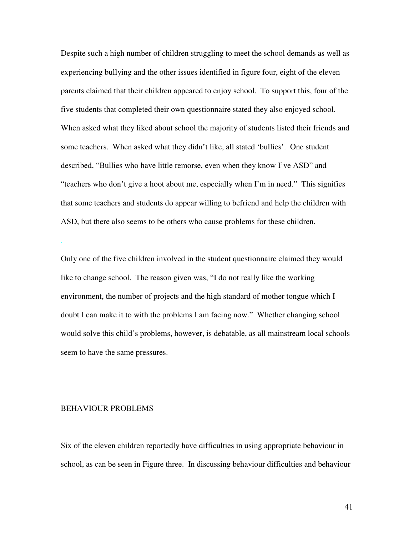Despite such a high number of children struggling to meet the school demands as well as experiencing bullying and the other issues identified in figure four, eight of the eleven parents claimed that their children appeared to enjoy school. To support this, four of the five students that completed their own questionnaire stated they also enjoyed school. When asked what they liked about school the majority of students listed their friends and some teachers. When asked what they didn't like, all stated 'bullies'. One student described, "Bullies who have little remorse, even when they know I've ASD" and "teachers who don't give a hoot about me, especially when I'm in need." This signifies that some teachers and students do appear willing to befriend and help the children with ASD, but there also seems to be others who cause problems for these children.

Only one of the five children involved in the student questionnaire claimed they would like to change school. The reason given was, "I do not really like the working environment, the number of projects and the high standard of mother tongue which I doubt I can make it to with the problems I am facing now." Whether changing school would solve this child's problems, however, is debatable, as all mainstream local schools seem to have the same pressures.

#### BEHAVIOUR PROBLEMS

.

Six of the eleven children reportedly have difficulties in using appropriate behaviour in school, as can be seen in Figure three. In discussing behaviour difficulties and behaviour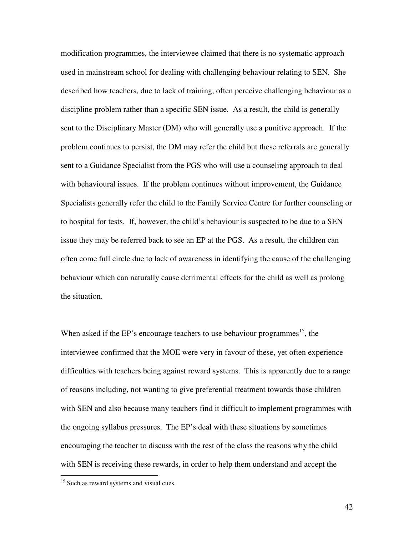modification programmes, the interviewee claimed that there is no systematic approach used in mainstream school for dealing with challenging behaviour relating to SEN. She described how teachers, due to lack of training, often perceive challenging behaviour as a discipline problem rather than a specific SEN issue. As a result, the child is generally sent to the Disciplinary Master (DM) who will generally use a punitive approach. If the problem continues to persist, the DM may refer the child but these referrals are generally sent to a Guidance Specialist from the PGS who will use a counseling approach to deal with behavioural issues. If the problem continues without improvement, the Guidance Specialists generally refer the child to the Family Service Centre for further counseling or to hospital for tests. If, however, the child's behaviour is suspected to be due to a SEN issue they may be referred back to see an EP at the PGS. As a result, the children can often come full circle due to lack of awareness in identifying the cause of the challenging behaviour which can naturally cause detrimental effects for the child as well as prolong the situation.

When asked if the EP's encourage teachers to use behaviour programmes<sup>15</sup>, the interviewee confirmed that the MOE were very in favour of these, yet often experience difficulties with teachers being against reward systems. This is apparently due to a range of reasons including, not wanting to give preferential treatment towards those children with SEN and also because many teachers find it difficult to implement programmes with the ongoing syllabus pressures. The EP's deal with these situations by sometimes encouraging the teacher to discuss with the rest of the class the reasons why the child with SEN is receiving these rewards, in order to help them understand and accept the

<sup>&</sup>lt;sup>15</sup> Such as reward systems and visual cues.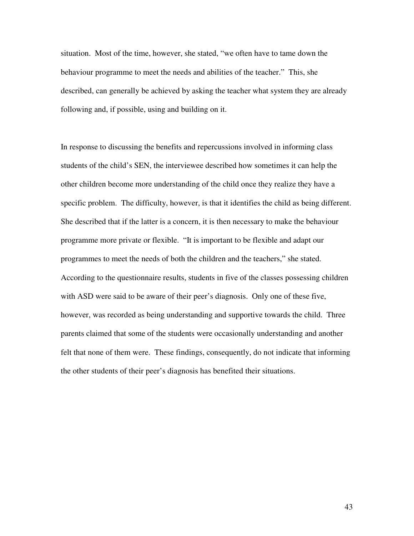situation. Most of the time, however, she stated, "we often have to tame down the behaviour programme to meet the needs and abilities of the teacher." This, she described, can generally be achieved by asking the teacher what system they are already following and, if possible, using and building on it.

In response to discussing the benefits and repercussions involved in informing class students of the child's SEN, the interviewee described how sometimes it can help the other children become more understanding of the child once they realize they have a specific problem. The difficulty, however, is that it identifies the child as being different. She described that if the latter is a concern, it is then necessary to make the behaviour programme more private or flexible. "It is important to be flexible and adapt our programmes to meet the needs of both the children and the teachers," she stated. According to the questionnaire results, students in five of the classes possessing children with ASD were said to be aware of their peer's diagnosis. Only one of these five, however, was recorded as being understanding and supportive towards the child. Three parents claimed that some of the students were occasionally understanding and another felt that none of them were. These findings, consequently, do not indicate that informing the other students of their peer's diagnosis has benefited their situations.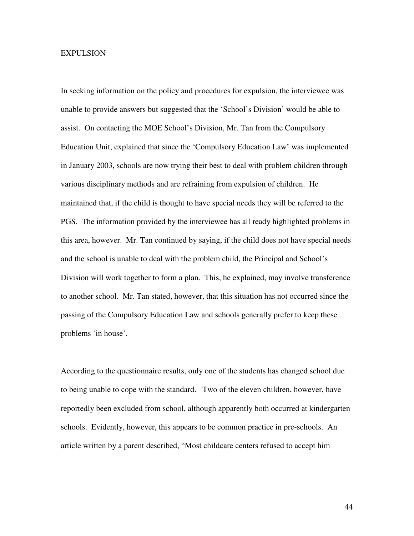#### **EXPULSION**

In seeking information on the policy and procedures for expulsion, the interviewee was unable to provide answers but suggested that the 'School's Division' would be able to assist. On contacting the MOE School's Division, Mr. Tan from the Compulsory Education Unit, explained that since the 'Compulsory Education Law' was implemented in January 2003, schools are now trying their best to deal with problem children through various disciplinary methods and are refraining from expulsion of children. He maintained that, if the child is thought to have special needs they will be referred to the PGS. The information provided by the interviewee has all ready highlighted problems in this area, however. Mr. Tan continued by saying, if the child does not have special needs and the school is unable to deal with the problem child, the Principal and School's Division will work together to form a plan. This, he explained, may involve transference to another school. Mr. Tan stated, however, that this situation has not occurred since the passing of the Compulsory Education Law and schools generally prefer to keep these problems 'in house'.

According to the questionnaire results, only one of the students has changed school due to being unable to cope with the standard. Two of the eleven children, however, have reportedly been excluded from school, although apparently both occurred at kindergarten schools. Evidently, however, this appears to be common practice in pre-schools. An article written by a parent described, "Most childcare centers refused to accept him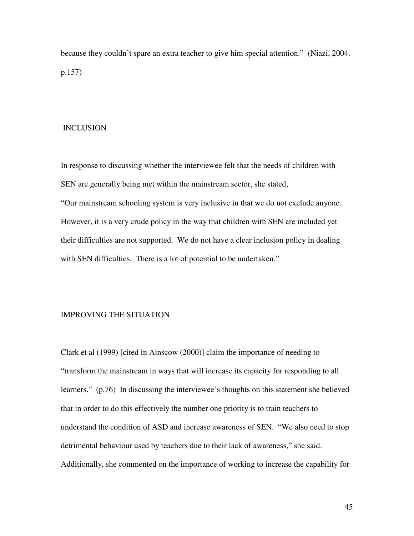because they couldn't spare an extra teacher to give him special attention." (Niazi, 2004. p.157)

#### INCLUSION

In response to discussing whether the interviewee felt that the needs of children with SEN are generally being met within the mainstream sector, she stated, "Our mainstream schooling system is very inclusive in that we do not exclude anyone. However, it is a very crude policy in the way that children with SEN are included yet their difficulties are not supported. We do not have a clear inclusion policy in dealing with SEN difficulties. There is a lot of potential to be undertaken."

#### IMPROVING THE SITUATION

Clark et al (1999) [cited in Ainscow (2000)] claim the importance of needing to "transform the mainstream in ways that will increase its capacity for responding to all learners." (p.76) In discussing the interviewee's thoughts on this statement she believed that in order to do this effectively the number one priority is to train teachers to understand the condition of ASD and increase awareness of SEN. "We also need to stop detrimental behaviour used by teachers due to their lack of awareness," she said. Additionally, she commented on the importance of working to increase the capability for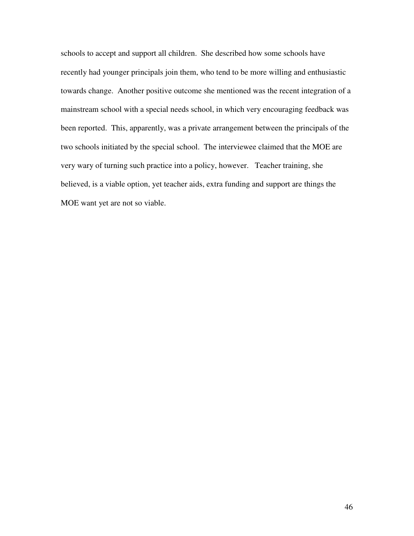schools to accept and support all children. She described how some schools have recently had younger principals join them, who tend to be more willing and enthusiastic towards change. Another positive outcome she mentioned was the recent integration of a mainstream school with a special needs school, in which very encouraging feedback was been reported. This, apparently, was a private arrangement between the principals of the two schools initiated by the special school. The interviewee claimed that the MOE are very wary of turning such practice into a policy, however. Teacher training, she believed, is a viable option, yet teacher aids, extra funding and support are things the MOE want yet are not so viable.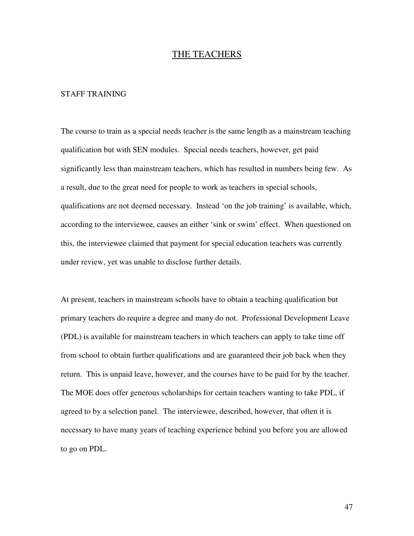### THE TEACHERS

#### STAFF TRAINING

The course to train as a special needs teacher is the same length as a mainstream teaching qualification but with SEN modules. Special needs teachers, however, get paid significantly less than mainstream teachers, which has resulted in numbers being few. As a result, due to the great need for people to work as teachers in special schools, qualifications are not deemed necessary. Instead 'on the job training' is available, which, according to the interviewee, causes an either 'sink or swim' effect. When questioned on this, the interviewee claimed that payment for special education teachers was currently under review, yet was unable to disclose further details.

At present, teachers in mainstream schools have to obtain a teaching qualification but primary teachers do require a degree and many do not. Professional Development Leave (PDL) is available for mainstream teachers in which teachers can apply to take time off from school to obtain further qualifications and are guaranteed their job back when they return. This is unpaid leave, however, and the courses have to be paid for by the teacher. The MOE does offer generous scholarships for certain teachers wanting to take PDL, if agreed to by a selection panel. The interviewee, described, however, that often it is necessary to have many years of teaching experience behind you before you are allowed to go on PDL.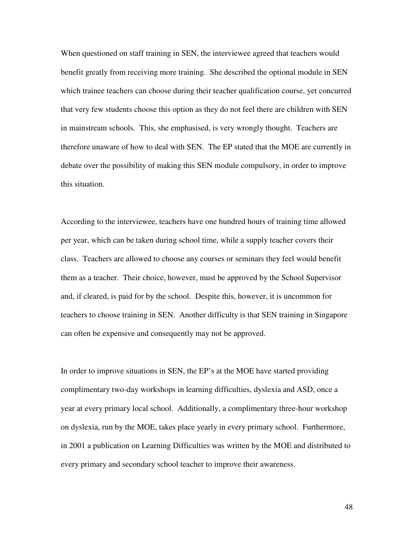When questioned on staff training in SEN, the interviewee agreed that teachers would benefit greatly from receiving more training. She described the optional module in SEN which trainee teachers can choose during their teacher qualification course, yet concurred that very few students choose this option as they do not feel there are children with SEN in mainstream schools. This, she emphasised, is very wrongly thought. Teachers are therefore unaware of how to deal with SEN. The EP stated that the MOE are currently in debate over the possibility of making this SEN module compulsory, in order to improve this situation.

According to the interviewee, teachers have one hundred hours of training time allowed per year, which can be taken during school time, while a supply teacher covers their class. Teachers are allowed to choose any courses or seminars they feel would benefit them as a teacher. Their choice, however, must be approved by the School Supervisor and, if cleared, is paid for by the school. Despite this, however, it is uncommon for teachers to choose training in SEN. Another difficulty is that SEN training in Singapore can often be expensive and consequently may not be approved.

In order to improve situations in SEN, the EP's at the MOE have started providing complimentary two-day workshops in learning difficulties, dyslexia and ASD, once a year at every primary local school. Additionally, a complimentary three-hour workshop on dyslexia, run by the MOE, takes place yearly in every primary school. Furthermore, in 2001 a publication on Learning Difficulties was written by the MOE and distributed to every primary and secondary school teacher to improve their awareness.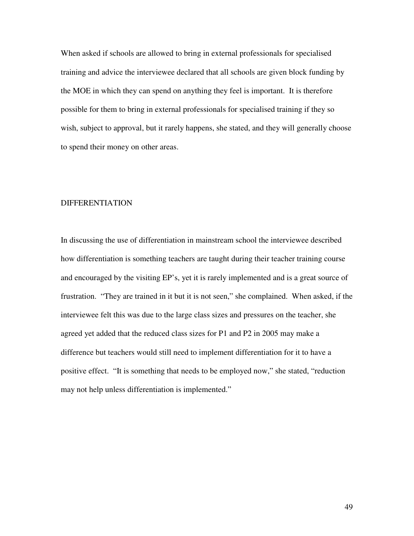When asked if schools are allowed to bring in external professionals for specialised training and advice the interviewee declared that all schools are given block funding by the MOE in which they can spend on anything they feel is important. It is therefore possible for them to bring in external professionals for specialised training if they so wish, subject to approval, but it rarely happens, she stated, and they will generally choose to spend their money on other areas.

#### DIFFERENTIATION

In discussing the use of differentiation in mainstream school the interviewee described how differentiation is something teachers are taught during their teacher training course and encouraged by the visiting EP's, yet it is rarely implemented and is a great source of frustration. "They are trained in it but it is not seen," she complained. When asked, if the interviewee felt this was due to the large class sizes and pressures on the teacher, she agreed yet added that the reduced class sizes for P1 and P2 in 2005 may make a difference but teachers would still need to implement differentiation for it to have a positive effect. "It is something that needs to be employed now," she stated, "reduction may not help unless differentiation is implemented."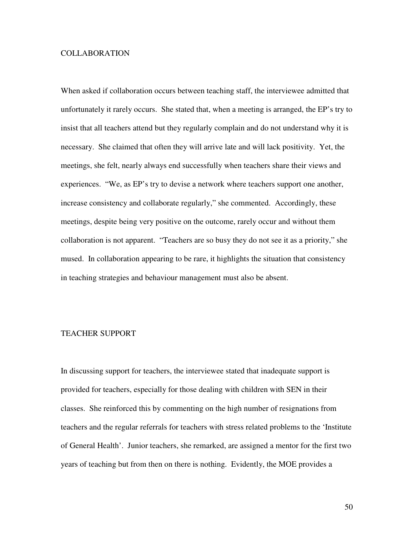#### COLLABORATION

When asked if collaboration occurs between teaching staff, the interviewee admitted that unfortunately it rarely occurs. She stated that, when a meeting is arranged, the EP's try to insist that all teachers attend but they regularly complain and do not understand why it is necessary. She claimed that often they will arrive late and will lack positivity. Yet, the meetings, she felt, nearly always end successfully when teachers share their views and experiences. "We, as EP's try to devise a network where teachers support one another, increase consistency and collaborate regularly," she commented. Accordingly, these meetings, despite being very positive on the outcome, rarely occur and without them collaboration is not apparent. "Teachers are so busy they do not see it as a priority," she mused. In collaboration appearing to be rare, it highlights the situation that consistency in teaching strategies and behaviour management must also be absent.

#### TEACHER SUPPORT

In discussing support for teachers, the interviewee stated that inadequate support is provided for teachers, especially for those dealing with children with SEN in their classes. She reinforced this by commenting on the high number of resignations from teachers and the regular referrals for teachers with stress related problems to the 'Institute of General Health'. Junior teachers, she remarked, are assigned a mentor for the first two years of teaching but from then on there is nothing. Evidently, the MOE provides a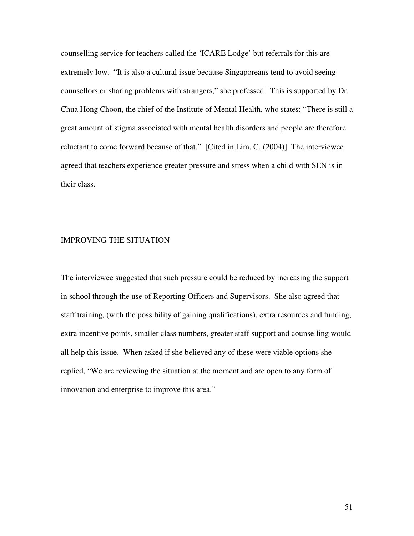counselling service for teachers called the 'ICARE Lodge' but referrals for this are extremely low. "It is also a cultural issue because Singaporeans tend to avoid seeing counsellors or sharing problems with strangers," she professed. This is supported by Dr. Chua Hong Choon, the chief of the Institute of Mental Health, who states: "There is still a great amount of stigma associated with mental health disorders and people are therefore reluctant to come forward because of that." [Cited in Lim, C. (2004)] The interviewee agreed that teachers experience greater pressure and stress when a child with SEN is in their class.

#### IMPROVING THE SITUATION

The interviewee suggested that such pressure could be reduced by increasing the support in school through the use of Reporting Officers and Supervisors. She also agreed that staff training, (with the possibility of gaining qualifications), extra resources and funding, extra incentive points, smaller class numbers, greater staff support and counselling would all help this issue. When asked if she believed any of these were viable options she replied, "We are reviewing the situation at the moment and are open to any form of innovation and enterprise to improve this area."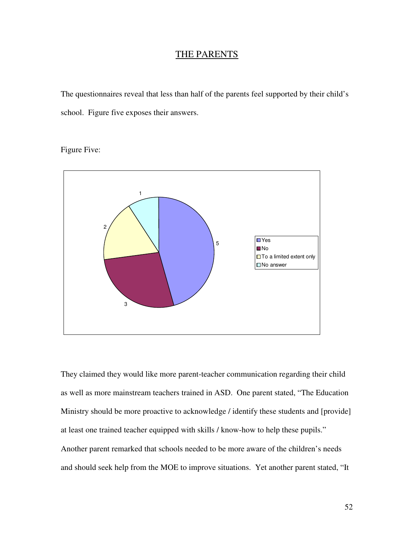## THE PARENTS

The questionnaires reveal that less than half of the parents feel supported by their child's school. Figure five exposes their answers.

## Figure Five:



They claimed they would like more parent-teacher communication regarding their child as well as more mainstream teachers trained in ASD. One parent stated, "The Education Ministry should be more proactive to acknowledge / identify these students and [provide] at least one trained teacher equipped with skills / know-how to help these pupils." Another parent remarked that schools needed to be more aware of the children's needs and should seek help from the MOE to improve situations. Yet another parent stated, "It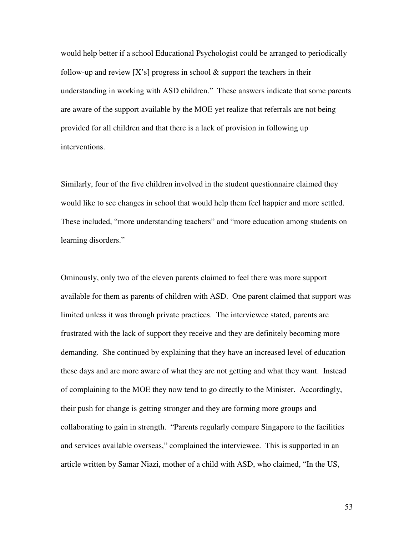would help better if a school Educational Psychologist could be arranged to periodically follow-up and review  $[X's]$  progress in school  $\&$  support the teachers in their understanding in working with ASD children." These answers indicate that some parents are aware of the support available by the MOE yet realize that referrals are not being provided for all children and that there is a lack of provision in following up interventions.

Similarly, four of the five children involved in the student questionnaire claimed they would like to see changes in school that would help them feel happier and more settled. These included, "more understanding teachers" and "more education among students on learning disorders."

Ominously, only two of the eleven parents claimed to feel there was more support available for them as parents of children with ASD. One parent claimed that support was limited unless it was through private practices. The interviewee stated, parents are frustrated with the lack of support they receive and they are definitely becoming more demanding. She continued by explaining that they have an increased level of education these days and are more aware of what they are not getting and what they want. Instead of complaining to the MOE they now tend to go directly to the Minister. Accordingly, their push for change is getting stronger and they are forming more groups and collaborating to gain in strength. "Parents regularly compare Singapore to the facilities and services available overseas," complained the interviewee. This is supported in an article written by Samar Niazi, mother of a child with ASD, who claimed, "In the US,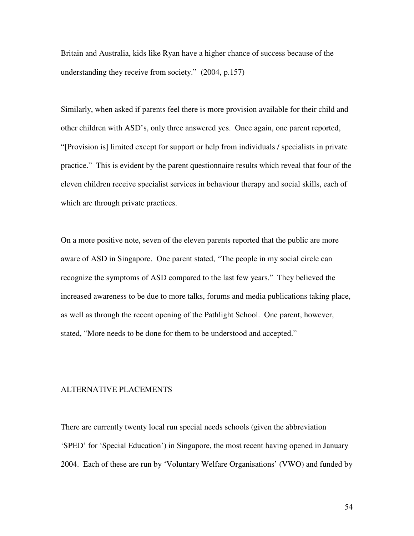Britain and Australia, kids like Ryan have a higher chance of success because of the understanding they receive from society." (2004, p.157)

Similarly, when asked if parents feel there is more provision available for their child and other children with ASD's, only three answered yes. Once again, one parent reported, "[Provision is] limited except for support or help from individuals / specialists in private practice." This is evident by the parent questionnaire results which reveal that four of the eleven children receive specialist services in behaviour therapy and social skills, each of which are through private practices.

On a more positive note, seven of the eleven parents reported that the public are more aware of ASD in Singapore. One parent stated, "The people in my social circle can recognize the symptoms of ASD compared to the last few years." They believed the increased awareness to be due to more talks, forums and media publications taking place, as well as through the recent opening of the Pathlight School. One parent, however, stated, "More needs to be done for them to be understood and accepted."

#### ALTERNATIVE PLACEMENTS

There are currently twenty local run special needs schools (given the abbreviation 'SPED' for 'Special Education') in Singapore, the most recent having opened in January 2004. Each of these are run by 'Voluntary Welfare Organisations' (VWO) and funded by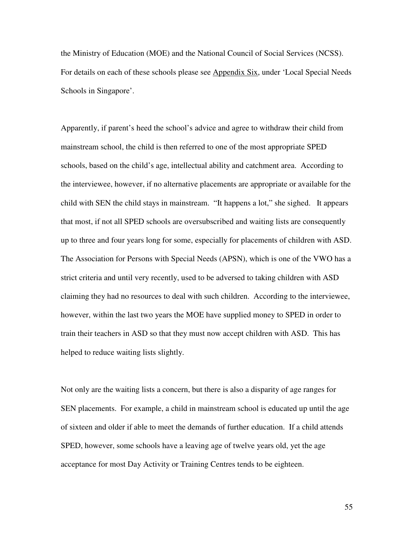the Ministry of Education (MOE) and the National Council of Social Services (NCSS). For details on each of these schools please see Appendix Six, under 'Local Special Needs Schools in Singapore'.

Apparently, if parent's heed the school's advice and agree to withdraw their child from mainstream school, the child is then referred to one of the most appropriate SPED schools, based on the child's age, intellectual ability and catchment area. According to the interviewee, however, if no alternative placements are appropriate or available for the child with SEN the child stays in mainstream. "It happens a lot," she sighed. It appears that most, if not all SPED schools are oversubscribed and waiting lists are consequently up to three and four years long for some, especially for placements of children with ASD. The Association for Persons with Special Needs (APSN), which is one of the VWO has a strict criteria and until very recently, used to be adversed to taking children with ASD claiming they had no resources to deal with such children. According to the interviewee, however, within the last two years the MOE have supplied money to SPED in order to train their teachers in ASD so that they must now accept children with ASD. This has helped to reduce waiting lists slightly.

Not only are the waiting lists a concern, but there is also a disparity of age ranges for SEN placements. For example, a child in mainstream school is educated up until the age of sixteen and older if able to meet the demands of further education. If a child attends SPED, however, some schools have a leaving age of twelve years old, yet the age acceptance for most Day Activity or Training Centres tends to be eighteen.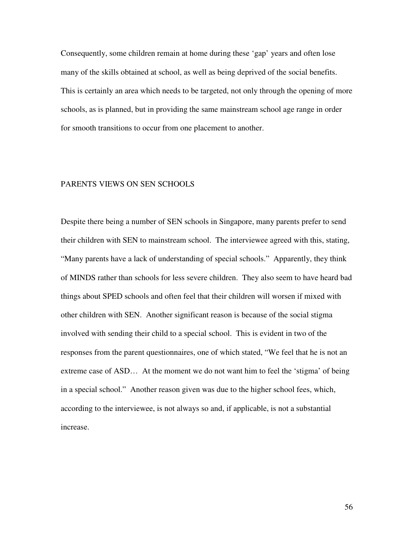Consequently, some children remain at home during these 'gap' years and often lose many of the skills obtained at school, as well as being deprived of the social benefits. This is certainly an area which needs to be targeted, not only through the opening of more schools, as is planned, but in providing the same mainstream school age range in order for smooth transitions to occur from one placement to another.

#### PARENTS VIEWS ON SEN SCHOOLS

Despite there being a number of SEN schools in Singapore, many parents prefer to send their children with SEN to mainstream school. The interviewee agreed with this, stating, "Many parents have a lack of understanding of special schools." Apparently, they think of MINDS rather than schools for less severe children. They also seem to have heard bad things about SPED schools and often feel that their children will worsen if mixed with other children with SEN. Another significant reason is because of the social stigma involved with sending their child to a special school. This is evident in two of the responses from the parent questionnaires, one of which stated, "We feel that he is not an extreme case of ASD… At the moment we do not want him to feel the 'stigma' of being in a special school." Another reason given was due to the higher school fees, which, according to the interviewee, is not always so and, if applicable, is not a substantial increase.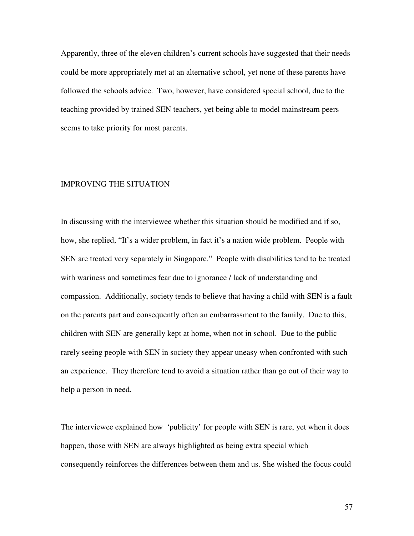Apparently, three of the eleven children's current schools have suggested that their needs could be more appropriately met at an alternative school, yet none of these parents have followed the schools advice. Two, however, have considered special school, due to the teaching provided by trained SEN teachers, yet being able to model mainstream peers seems to take priority for most parents.

#### IMPROVING THE SITUATION

In discussing with the interviewee whether this situation should be modified and if so, how, she replied, "It's a wider problem, in fact it's a nation wide problem. People with SEN are treated very separately in Singapore." People with disabilities tend to be treated with wariness and sometimes fear due to ignorance / lack of understanding and compassion. Additionally, society tends to believe that having a child with SEN is a fault on the parents part and consequently often an embarrassment to the family. Due to this, children with SEN are generally kept at home, when not in school. Due to the public rarely seeing people with SEN in society they appear uneasy when confronted with such an experience. They therefore tend to avoid a situation rather than go out of their way to help a person in need.

The interviewee explained how 'publicity' for people with SEN is rare, yet when it does happen, those with SEN are always highlighted as being extra special which consequently reinforces the differences between them and us. She wished the focus could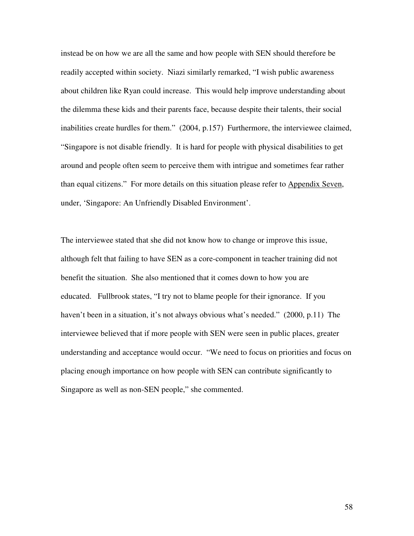instead be on how we are all the same and how people with SEN should therefore be readily accepted within society. Niazi similarly remarked, "I wish public awareness about children like Ryan could increase. This would help improve understanding about the dilemma these kids and their parents face, because despite their talents, their social inabilities create hurdles for them." (2004, p.157) Furthermore, the interviewee claimed, "Singapore is not disable friendly. It is hard for people with physical disabilities to get around and people often seem to perceive them with intrigue and sometimes fear rather than equal citizens." For more details on this situation please refer to Appendix Seven, under, 'Singapore: An Unfriendly Disabled Environment'.

The interviewee stated that she did not know how to change or improve this issue, although felt that failing to have SEN as a core-component in teacher training did not benefit the situation. She also mentioned that it comes down to how you are educated. Fullbrook states, "I try not to blame people for their ignorance. If you haven't been in a situation, it's not always obvious what's needed." (2000, p.11) The interviewee believed that if more people with SEN were seen in public places, greater understanding and acceptance would occur. "We need to focus on priorities and focus on placing enough importance on how people with SEN can contribute significantly to Singapore as well as non-SEN people," she commented.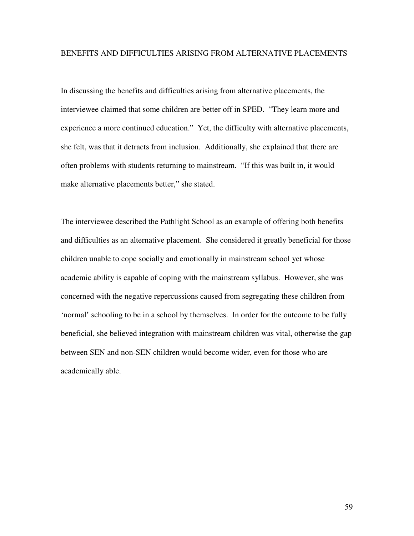#### BENEFITS AND DIFFICULTIES ARISING FROM ALTERNATIVE PLACEMENTS

In discussing the benefits and difficulties arising from alternative placements, the interviewee claimed that some children are better off in SPED. "They learn more and experience a more continued education." Yet, the difficulty with alternative placements, she felt, was that it detracts from inclusion. Additionally, she explained that there are often problems with students returning to mainstream. "If this was built in, it would make alternative placements better," she stated.

The interviewee described the Pathlight School as an example of offering both benefits and difficulties as an alternative placement. She considered it greatly beneficial for those children unable to cope socially and emotionally in mainstream school yet whose academic ability is capable of coping with the mainstream syllabus. However, she was concerned with the negative repercussions caused from segregating these children from 'normal' schooling to be in a school by themselves. In order for the outcome to be fully beneficial, she believed integration with mainstream children was vital, otherwise the gap between SEN and non-SEN children would become wider, even for those who are academically able.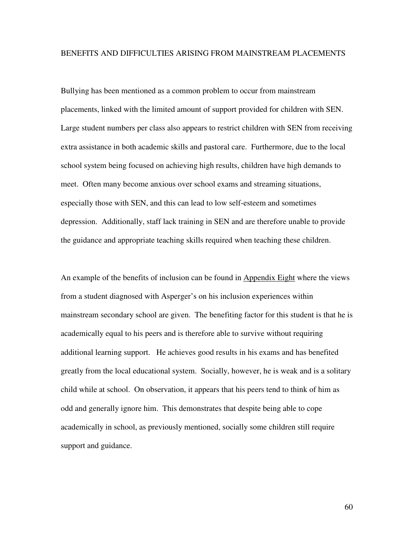#### BENEFITS AND DIFFICULTIES ARISING FROM MAINSTREAM PLACEMENTS

Bullying has been mentioned as a common problem to occur from mainstream placements, linked with the limited amount of support provided for children with SEN. Large student numbers per class also appears to restrict children with SEN from receiving extra assistance in both academic skills and pastoral care. Furthermore, due to the local school system being focused on achieving high results, children have high demands to meet. Often many become anxious over school exams and streaming situations, especially those with SEN, and this can lead to low self-esteem and sometimes depression. Additionally, staff lack training in SEN and are therefore unable to provide the guidance and appropriate teaching skills required when teaching these children.

An example of the benefits of inclusion can be found in Appendix Eight where the views from a student diagnosed with Asperger's on his inclusion experiences within mainstream secondary school are given. The benefiting factor for this student is that he is academically equal to his peers and is therefore able to survive without requiring additional learning support. He achieves good results in his exams and has benefited greatly from the local educational system. Socially, however, he is weak and is a solitary child while at school. On observation, it appears that his peers tend to think of him as odd and generally ignore him. This demonstrates that despite being able to cope academically in school, as previously mentioned, socially some children still require support and guidance.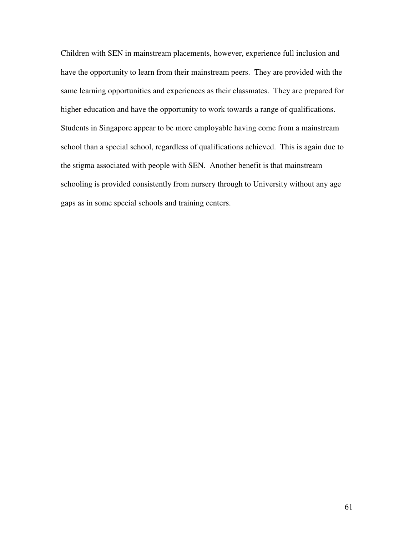Children with SEN in mainstream placements, however, experience full inclusion and have the opportunity to learn from their mainstream peers. They are provided with the same learning opportunities and experiences as their classmates. They are prepared for higher education and have the opportunity to work towards a range of qualifications. Students in Singapore appear to be more employable having come from a mainstream school than a special school, regardless of qualifications achieved. This is again due to the stigma associated with people with SEN. Another benefit is that mainstream schooling is provided consistently from nursery through to University without any age gaps as in some special schools and training centers.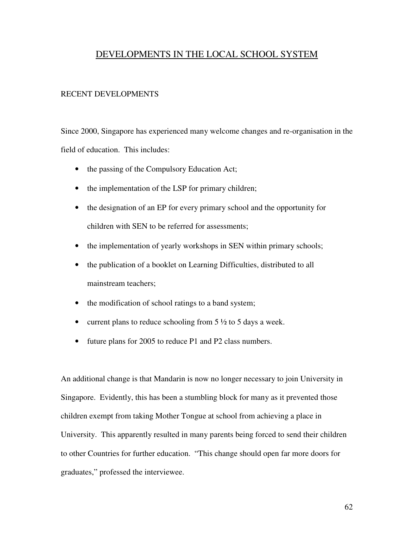## DEVELOPMENTS IN THE LOCAL SCHOOL SYSTEM

#### RECENT DEVELOPMENTS

Since 2000, Singapore has experienced many welcome changes and re-organisation in the field of education. This includes:

- the passing of the Compulsory Education Act;
- the implementation of the LSP for primary children;
- the designation of an EP for every primary school and the opportunity for children with SEN to be referred for assessments;
- the implementation of yearly workshops in SEN within primary schools;
- the publication of a booklet on Learning Difficulties, distributed to all mainstream teachers;
- the modification of school ratings to a band system;
- current plans to reduce schooling from  $5\frac{1}{2}$  to 5 days a week.
- future plans for 2005 to reduce P1 and P2 class numbers.

An additional change is that Mandarin is now no longer necessary to join University in Singapore. Evidently, this has been a stumbling block for many as it prevented those children exempt from taking Mother Tongue at school from achieving a place in University. This apparently resulted in many parents being forced to send their children to other Countries for further education. "This change should open far more doors for graduates," professed the interviewee.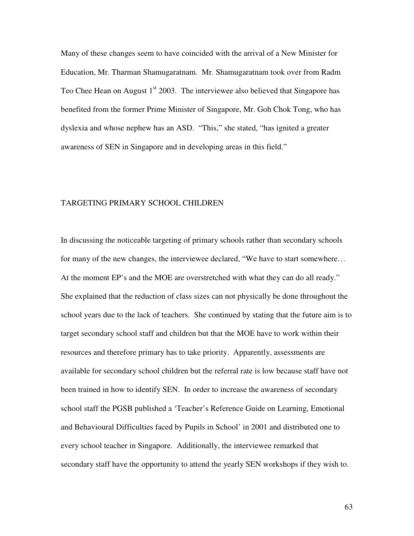Many of these changes seem to have coincided with the arrival of a New Minister for Education, Mr. Tharman Shamugaratnam. Mr. Shamugaratnam took over from Radm Teo Chee Hean on August 1<sup>st</sup> 2003. The interviewee also believed that Singapore has benefited from the former Prime Minister of Singapore, Mr. Goh Chok Tong, who has dyslexia and whose nephew has an ASD. "This," she stated, "has ignited a greater awareness of SEN in Singapore and in developing areas in this field."

#### TARGETING PRIMARY SCHOOL CHILDREN

In discussing the noticeable targeting of primary schools rather than secondary schools for many of the new changes, the interviewee declared, "We have to start somewhere… At the moment EP's and the MOE are overstretched with what they can do all ready." She explained that the reduction of class sizes can not physically be done throughout the school years due to the lack of teachers. She continued by stating that the future aim is to target secondary school staff and children but that the MOE have to work within their resources and therefore primary has to take priority. Apparently, assessments are available for secondary school children but the referral rate is low because staff have not been trained in how to identify SEN. In order to increase the awareness of secondary school staff the PGSB published a 'Teacher's Reference Guide on Learning, Emotional and Behavioural Difficulties faced by Pupils in School' in 2001 and distributed one to every school teacher in Singapore. Additionally, the interviewee remarked that secondary staff have the opportunity to attend the yearly SEN workshops if they wish to.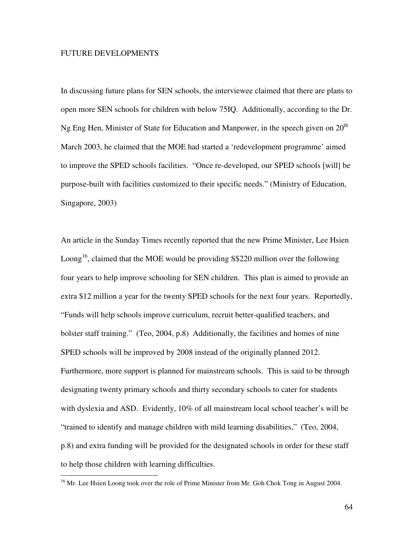#### FUTURE DEVELOPMENTS

In discussing future plans for SEN schools, the interviewee claimed that there are plans to open more SEN schools for children with below 75IQ. Additionally, according to the Dr. Ng Eng Hen, Minister of State for Education and Manpower, in the speech given on  $20<sup>th</sup>$ March 2003, he claimed that the MOE had started a 'redevelopment programme' aimed to improve the SPED schools facilities. "Once re-developed, our SPED schools [will] be purpose-built with facilities customized to their specific needs." (Ministry of Education, Singapore, 2003)

An article in the Sunday Times recently reported that the new Prime Minister, Lee Hsien Loong<sup>16</sup>, claimed that the MOE would be providing S\$220 million over the following four years to help improve schooling for SEN children. This plan is aimed to provide an extra \$12 million a year for the twenty SPED schools for the next four years. Reportedly, "Funds will help schools improve curriculum, recruit better-qualified teachers, and bolster staff training." (Teo, 2004, p.8) Additionally, the facilities and homes of nine SPED schools will be improved by 2008 instead of the originally planned 2012. Furthermore, more support is planned for mainstream schools. This is said to be through designating twenty primary schools and thirty secondary schools to cater for students with dyslexia and ASD. Evidently, 10% of all mainstream local school teacher's will be "trained to identify and manage children with mild learning disabilities," (Teo, 2004, p.8) and extra funding will be provided for the designated schools in order for these staff to help those children with learning difficulties.

<sup>&</sup>lt;sup>16</sup> Mr. Lee Hsien Loong took over the role of Prime Minister from Mr. Goh Chok Tong in August 2004.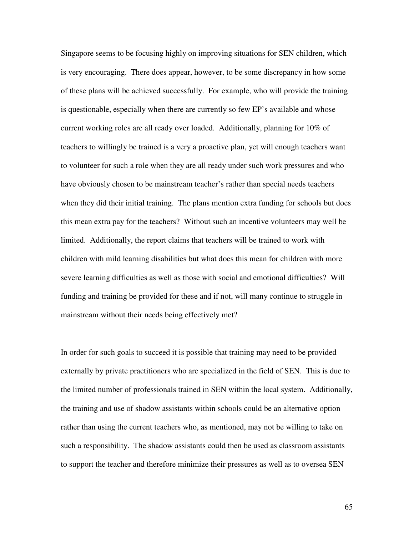Singapore seems to be focusing highly on improving situations for SEN children, which is very encouraging. There does appear, however, to be some discrepancy in how some of these plans will be achieved successfully. For example, who will provide the training is questionable, especially when there are currently so few EP's available and whose current working roles are all ready over loaded. Additionally, planning for 10% of teachers to willingly be trained is a very a proactive plan, yet will enough teachers want to volunteer for such a role when they are all ready under such work pressures and who have obviously chosen to be mainstream teacher's rather than special needs teachers when they did their initial training. The plans mention extra funding for schools but does this mean extra pay for the teachers? Without such an incentive volunteers may well be limited. Additionally, the report claims that teachers will be trained to work with children with mild learning disabilities but what does this mean for children with more severe learning difficulties as well as those with social and emotional difficulties? Will funding and training be provided for these and if not, will many continue to struggle in mainstream without their needs being effectively met?

In order for such goals to succeed it is possible that training may need to be provided externally by private practitioners who are specialized in the field of SEN. This is due to the limited number of professionals trained in SEN within the local system. Additionally, the training and use of shadow assistants within schools could be an alternative option rather than using the current teachers who, as mentioned, may not be willing to take on such a responsibility. The shadow assistants could then be used as classroom assistants to support the teacher and therefore minimize their pressures as well as to oversea SEN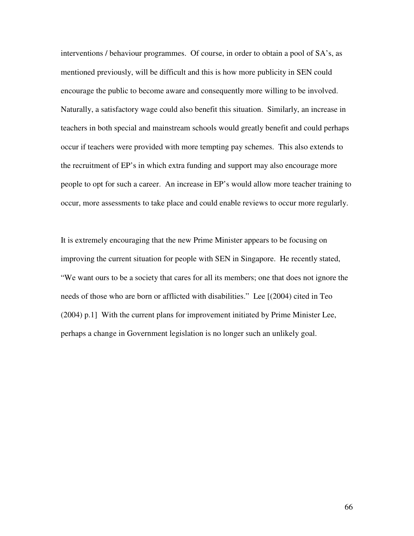interventions / behaviour programmes. Of course, in order to obtain a pool of SA's, as mentioned previously, will be difficult and this is how more publicity in SEN could encourage the public to become aware and consequently more willing to be involved. Naturally, a satisfactory wage could also benefit this situation. Similarly, an increase in teachers in both special and mainstream schools would greatly benefit and could perhaps occur if teachers were provided with more tempting pay schemes. This also extends to the recruitment of EP's in which extra funding and support may also encourage more people to opt for such a career. An increase in EP's would allow more teacher training to occur, more assessments to take place and could enable reviews to occur more regularly.

It is extremely encouraging that the new Prime Minister appears to be focusing on improving the current situation for people with SEN in Singapore. He recently stated, "We want ours to be a society that cares for all its members; one that does not ignore the needs of those who are born or afflicted with disabilities." Lee [(2004) cited in Teo (2004) p.1] With the current plans for improvement initiated by Prime Minister Lee, perhaps a change in Government legislation is no longer such an unlikely goal.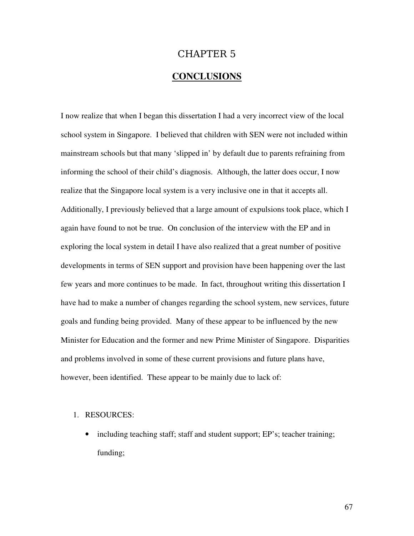# CHAPTER 5

## **CONCLUSIONS**

I now realize that when I began this dissertation I had a very incorrect view of the local school system in Singapore. I believed that children with SEN were not included within mainstream schools but that many 'slipped in' by default due to parents refraining from informing the school of their child's diagnosis. Although, the latter does occur, I now realize that the Singapore local system is a very inclusive one in that it accepts all. Additionally, I previously believed that a large amount of expulsions took place, which I again have found to not be true. On conclusion of the interview with the EP and in exploring the local system in detail I have also realized that a great number of positive developments in terms of SEN support and provision have been happening over the last few years and more continues to be made. In fact, throughout writing this dissertation I have had to make a number of changes regarding the school system, new services, future goals and funding being provided. Many of these appear to be influenced by the new Minister for Education and the former and new Prime Minister of Singapore. Disparities and problems involved in some of these current provisions and future plans have, however, been identified. These appear to be mainly due to lack of:

#### 1. RESOURCES:

• including teaching staff; staff and student support; EP's; teacher training; funding;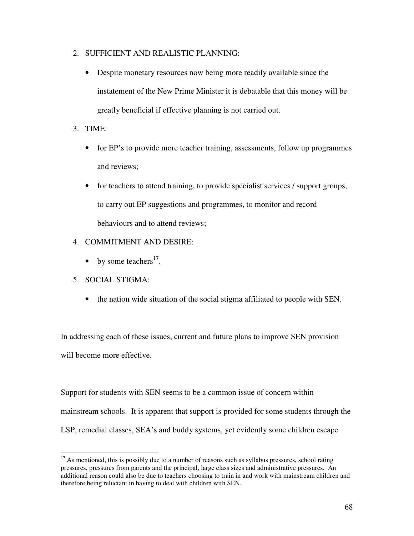- 2. SUFFICIENT AND REALISTIC PLANNING:
	- Despite monetary resources now being more readily available since the instatement of the New Prime Minister it is debatable that this money will be greatly beneficial if effective planning is not carried out.
- 3. TIME:
	- for EP's to provide more teacher training, assessments, follow up programmes and reviews;
	- for teachers to attend training, to provide specialist services / support groups, to carry out EP suggestions and programmes, to monitor and record behaviours and to attend reviews;
- 4. COMMITMENT AND DESIRE:
	- by some teachers<sup>17</sup>.
- 5. SOCIAL STIGMA:
	- the nation wide situation of the social stigma affiliated to people with SEN.

In addressing each of these issues, current and future plans to improve SEN provision will become more effective.

Support for students with SEN seems to be a common issue of concern within mainstream schools. It is apparent that support is provided for some students through the LSP, remedial classes, SEA's and buddy systems, yet evidently some children escape

 $17$  As mentioned, this is possibly due to a number of reasons such as syllabus pressures, school rating pressures, pressures from parents and the principal, large class sizes and administrative pressures. An additional reason could also be due to teachers choosing to train in and work with mainstream children and therefore being reluctant in having to deal with children with SEN.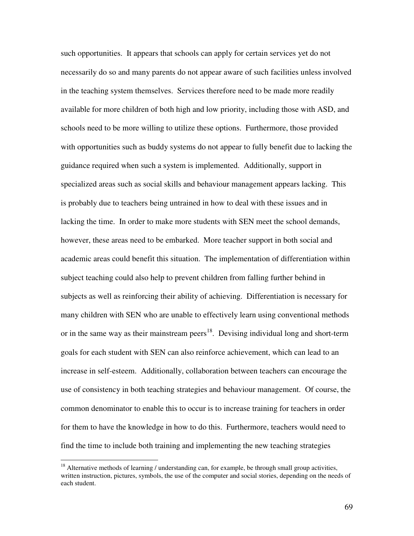such opportunities. It appears that schools can apply for certain services yet do not necessarily do so and many parents do not appear aware of such facilities unless involved in the teaching system themselves. Services therefore need to be made more readily available for more children of both high and low priority, including those with ASD, and schools need to be more willing to utilize these options. Furthermore, those provided with opportunities such as buddy systems do not appear to fully benefit due to lacking the guidance required when such a system is implemented. Additionally, support in specialized areas such as social skills and behaviour management appears lacking. This is probably due to teachers being untrained in how to deal with these issues and in lacking the time. In order to make more students with SEN meet the school demands, however, these areas need to be embarked. More teacher support in both social and academic areas could benefit this situation. The implementation of differentiation within subject teaching could also help to prevent children from falling further behind in subjects as well as reinforcing their ability of achieving. Differentiation is necessary for many children with SEN who are unable to effectively learn using conventional methods or in the same way as their mainstream peers<sup>18</sup>. Devising individual long and short-term goals for each student with SEN can also reinforce achievement, which can lead to an increase in self-esteem. Additionally, collaboration between teachers can encourage the use of consistency in both teaching strategies and behaviour management. Of course, the common denominator to enable this to occur is to increase training for teachers in order for them to have the knowledge in how to do this. Furthermore, teachers would need to find the time to include both training and implementing the new teaching strategies

<sup>&</sup>lt;sup>18</sup> Alternative methods of learning / understanding can, for example, be through small group activities, written instruction, pictures, symbols, the use of the computer and social stories, depending on the needs of each student.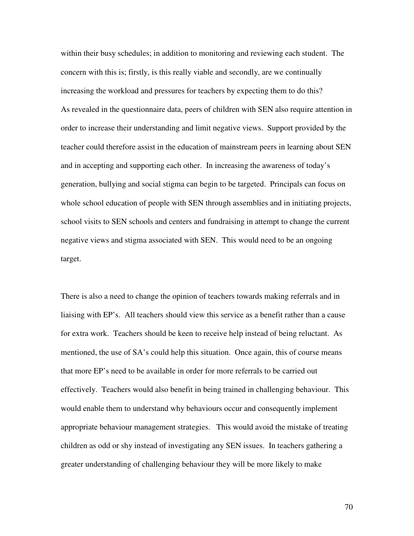within their busy schedules; in addition to monitoring and reviewing each student. The concern with this is; firstly, is this really viable and secondly, are we continually increasing the workload and pressures for teachers by expecting them to do this? As revealed in the questionnaire data, peers of children with SEN also require attention in order to increase their understanding and limit negative views. Support provided by the teacher could therefore assist in the education of mainstream peers in learning about SEN and in accepting and supporting each other. In increasing the awareness of today's generation, bullying and social stigma can begin to be targeted. Principals can focus on whole school education of people with SEN through assemblies and in initiating projects, school visits to SEN schools and centers and fundraising in attempt to change the current negative views and stigma associated with SEN. This would need to be an ongoing target.

There is also a need to change the opinion of teachers towards making referrals and in liaising with EP's. All teachers should view this service as a benefit rather than a cause for extra work. Teachers should be keen to receive help instead of being reluctant. As mentioned, the use of SA's could help this situation. Once again, this of course means that more EP's need to be available in order for more referrals to be carried out effectively. Teachers would also benefit in being trained in challenging behaviour. This would enable them to understand why behaviours occur and consequently implement appropriate behaviour management strategies. This would avoid the mistake of treating children as odd or shy instead of investigating any SEN issues. In teachers gathering a greater understanding of challenging behaviour they will be more likely to make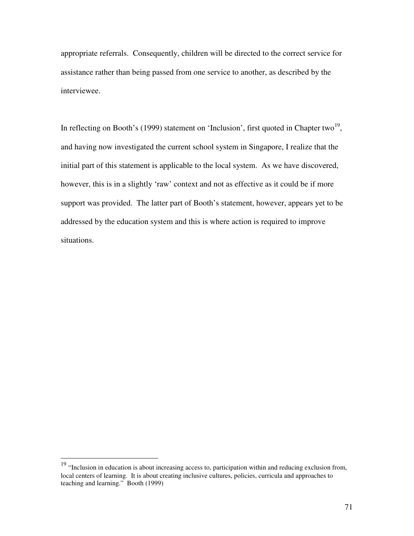appropriate referrals. Consequently, children will be directed to the correct service for assistance rather than being passed from one service to another, as described by the interviewee.

In reflecting on Booth's (1999) statement on 'Inclusion', first quoted in Chapter two<sup>19</sup>, and having now investigated the current school system in Singapore, I realize that the initial part of this statement is applicable to the local system. As we have discovered, however, this is in a slightly 'raw' context and not as effective as it could be if more support was provided. The latter part of Booth's statement, however, appears yet to be addressed by the education system and this is where action is required to improve situations.

<sup>&</sup>lt;sup>19</sup> "Inclusion in education is about increasing access to, participation within and reducing exclusion from, local centers of learning. It is about creating inclusive cultures, policies, curricula and approaches to teaching and learning." Booth (1999)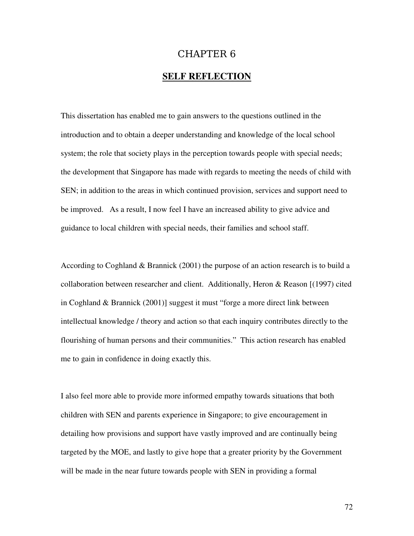## CHAPTER 6

## **SELF REFLECTION**

This dissertation has enabled me to gain answers to the questions outlined in the introduction and to obtain a deeper understanding and knowledge of the local school system; the role that society plays in the perception towards people with special needs; the development that Singapore has made with regards to meeting the needs of child with SEN; in addition to the areas in which continued provision, services and support need to be improved. As a result, I now feel I have an increased ability to give advice and guidance to local children with special needs, their families and school staff.

According to Coghland & Brannick (2001) the purpose of an action research is to build a collaboration between researcher and client. Additionally, Heron & Reason [(1997) cited in Coghland & Brannick (2001)] suggest it must "forge a more direct link between intellectual knowledge / theory and action so that each inquiry contributes directly to the flourishing of human persons and their communities." This action research has enabled me to gain in confidence in doing exactly this.

I also feel more able to provide more informed empathy towards situations that both children with SEN and parents experience in Singapore; to give encouragement in detailing how provisions and support have vastly improved and are continually being targeted by the MOE, and lastly to give hope that a greater priority by the Government will be made in the near future towards people with SEN in providing a formal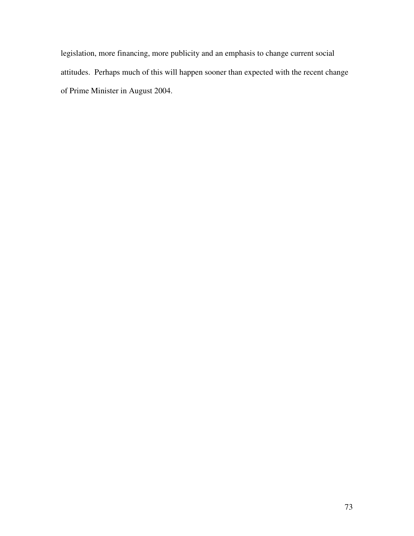legislation, more financing, more publicity and an emphasis to change current social attitudes. Perhaps much of this will happen sooner than expected with the recent change of Prime Minister in August 2004.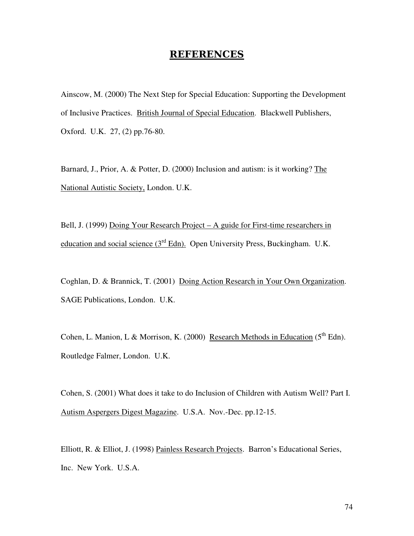## <u>REFERENCES</u>

Ainscow, M. (2000) The Next Step for Special Education: Supporting the Development of Inclusive Practices. British Journal of Special Education. Blackwell Publishers, Oxford. U.K. 27, (2) pp.76-80.

Barnard, J., Prior, A. & Potter, D. (2000) Inclusion and autism: is it working? The National Autistic Society, London. U.K.

Bell, J. (1999) Doing Your Research Project – A guide for First-time researchers in education and social science (3<sup>rd</sup> Edn). Open University Press, Buckingham. U.K.

Coghlan, D. & Brannick, T. (2001) Doing Action Research in Your Own Organization. SAGE Publications, London. U.K.

Cohen, L. Manion, L & Morrison, K. (2000) Research Methods in Education (5<sup>th</sup> Edn). Routledge Falmer, London. U.K.

Cohen, S. (2001) What does it take to do Inclusion of Children with Autism Well? Part I. Autism Aspergers Digest Magazine. U.S.A. Nov.-Dec. pp.12-15.

Elliott, R. & Elliot, J. (1998) Painless Research Projects. Barron's Educational Series, Inc. New York. U.S.A.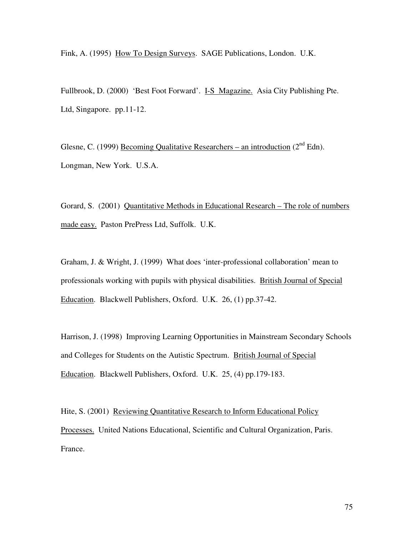Fink, A. (1995) How To Design Surveys. SAGE Publications, London. U.K.

Fullbrook, D. (2000) 'Best Foot Forward'. I-S Magazine. Asia City Publishing Pte. Ltd, Singapore. pp.11-12.

Glesne, C. (1999) **Becoming Qualitative Researchers** – an introduction ( $2^{nd}$  Edn). Longman, New York. U.S.A.

Gorard, S. (2001) Quantitative Methods in Educational Research – The role of numbers made easy. Paston PrePress Ltd, Suffolk. U.K.

Graham, J. & Wright, J. (1999) What does 'inter-professional collaboration' mean to professionals working with pupils with physical disabilities. British Journal of Special Education. Blackwell Publishers, Oxford. U.K. 26, (1) pp.37-42.

Harrison, J. (1998) Improving Learning Opportunities in Mainstream Secondary Schools and Colleges for Students on the Autistic Spectrum. British Journal of Special Education. Blackwell Publishers, Oxford. U.K. 25, (4) pp.179-183.

Hite, S. (2001) Reviewing Quantitative Research to Inform Educational Policy Processes. United Nations Educational, Scientific and Cultural Organization, Paris. France.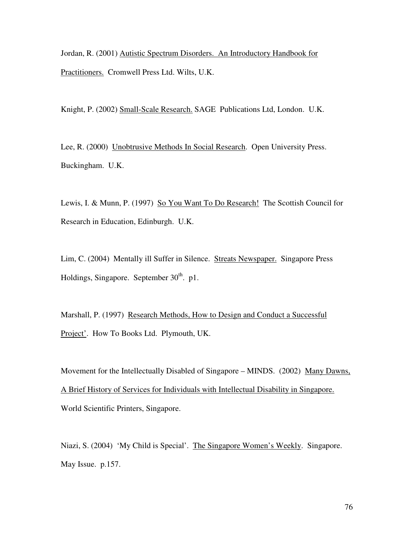Jordan, R. (2001) Autistic Spectrum Disorders. An Introductory Handbook for Practitioners. Cromwell Press Ltd. Wilts, U.K.

Knight, P. (2002) Small-Scale Research. SAGE Publications Ltd, London. U.K.

Lee, R. (2000) Unobtrusive Methods In Social Research. Open University Press. Buckingham. U.K.

Lewis, I. & Munn, P. (1997) So You Want To Do Research! The Scottish Council for Research in Education, Edinburgh. U.K.

Lim, C. (2004) Mentally ill Suffer in Silence. Streats Newspaper. Singapore Press Holdings, Singapore. September 30<sup>th</sup>. p1.

Marshall, P. (1997) Research Methods, How to Design and Conduct a Successful Project'. How To Books Ltd. Plymouth, UK.

Movement for the Intellectually Disabled of Singapore – MINDS. (2002) Many Dawns, A Brief History of Services for Individuals with Intellectual Disability in Singapore. World Scientific Printers, Singapore.

Niazi, S. (2004) 'My Child is Special'. The Singapore Women's Weekly. Singapore. May Issue. p.157.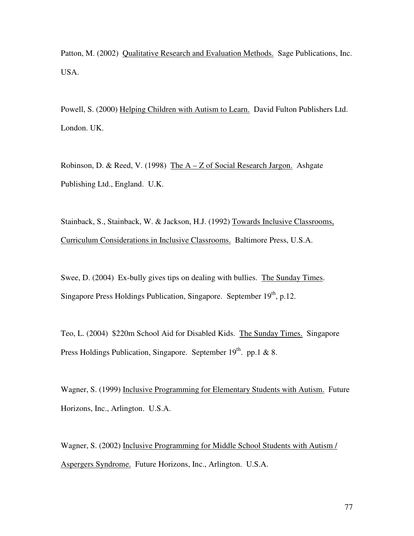Patton, M. (2002) Qualitative Research and Evaluation Methods. Sage Publications, Inc. USA.

Powell, S. (2000) Helping Children with Autism to Learn. David Fulton Publishers Ltd. London. UK.

Robinson, D. & Reed, V. (1998) The A – Z of Social Research Jargon. Ashgate Publishing Ltd., England. U.K.

Stainback, S., Stainback, W. & Jackson, H.J. (1992) Towards Inclusive Classrooms, Curriculum Considerations in Inclusive Classrooms. Baltimore Press, U.S.A.

Swee, D. (2004) Ex-bully gives tips on dealing with bullies. The Sunday Times. Singapore Press Holdings Publication, Singapore. September 19<sup>th</sup>, p.12.

Teo, L. (2004) \$220m School Aid for Disabled Kids. The Sunday Times. Singapore Press Holdings Publication, Singapore. September 19<sup>th</sup>. pp.1 & 8.

Wagner, S. (1999) Inclusive Programming for Elementary Students with Autism. Future Horizons, Inc., Arlington. U.S.A.

Wagner, S. (2002) Inclusive Programming for Middle School Students with Autism / Aspergers Syndrome. Future Horizons, Inc., Arlington. U.S.A.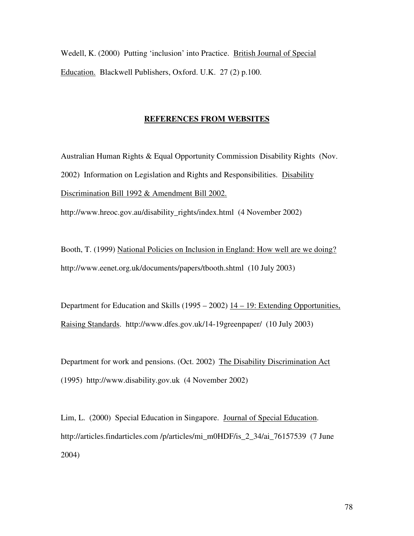Wedell, K. (2000) Putting 'inclusion' into Practice. British Journal of Special Education. Blackwell Publishers, Oxford. U.K. 27 (2) p.100.

## **REFERENCES FROM WEBSITES**

Australian Human Rights & Equal Opportunity Commission Disability Rights (Nov. 2002) Information on Legislation and Rights and Responsibilities. Disability Discrimination Bill 1992 & Amendment Bill 2002.

http://www.hreoc.gov.au/disability\_rights/index.html (4 November 2002)

Booth, T. (1999) National Policies on Inclusion in England: How well are we doing? http://www.eenet.org.uk/documents/papers/tbooth.shtml (10 July 2003)

Department for Education and Skills (1995 – 2002) 14 – 19: Extending Opportunities, Raising Standards. http://www.dfes.gov.uk/14-19greenpaper/ (10 July 2003)

Department for work and pensions. (Oct. 2002) The Disability Discrimination Act (1995) http://www.disability.gov.uk (4 November 2002)

Lim, L. (2000) Special Education in Singapore. Journal of Special Education. http://articles.findarticles.com /p/articles/mi\_m0HDF/is\_2\_34/ai\_76157539 (7 June 2004)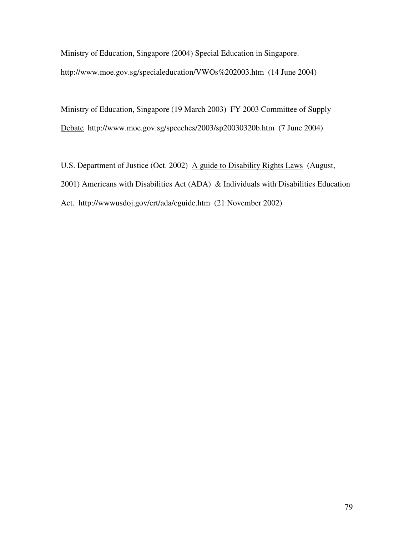Ministry of Education, Singapore (2004) Special Education in Singapore. http://www.moe.gov.sg/specialeducation/VWOs%202003.htm (14 June 2004)

Ministry of Education, Singapore (19 March 2003) FY 2003 Committee of Supply Debate http://www.moe.gov.sg/speeches/2003/sp20030320b.htm (7 June 2004)

U.S. Department of Justice (Oct. 2002) A guide to Disability Rights Laws (August, 2001) Americans with Disabilities Act (ADA) & Individuals with Disabilities Education Act. http://wwwusdoj.gov/crt/ada/cguide.htm (21 November 2002)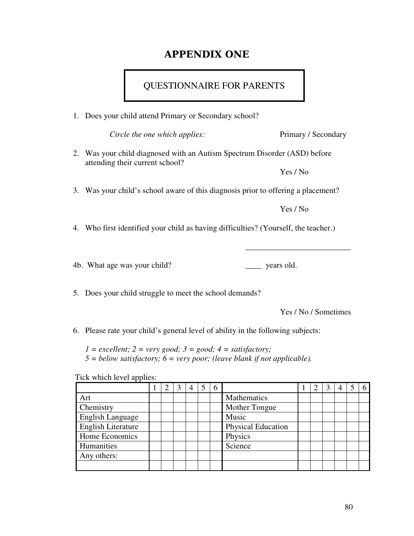# **APPENDIX ONE**

# QUESTIONNAIRE FOR PARENTS

1. Does your child attend Primary or Secondary school?

*Circle the one which applies:* Primary / Secondary

2. Was your child diagnosed with an Autism Spectrum Disorder (ASD) before attending their current school?

Yes / No

3. Was your child's school aware of this diagnosis prior to offering a placement?

Yes / No

\_\_\_\_\_\_\_\_\_\_\_\_\_\_\_\_\_\_\_\_\_\_\_\_\_\_

4. Who first identified your child as having difficulties? (Yourself, the teacher.)

4b. What age was your child? \_\_\_\_\_\_\_ years old.

5. Does your child struggle to meet the school demands?

Yes / No / Sometimes

6. Please rate your child's general level of ability in the following subjects:

 $1 =$  *excellent;*  $2 =$  *very good;*  $3 =$  *good;*  $4 =$  *satisfactory; 5 = below satisfactory; 6 = very poor; (leave blank if not applicable).*

Tick which level applies:

|                           |  | 3 | 4 | $\mathfrak b$ |                           |  |  | 6 |
|---------------------------|--|---|---|---------------|---------------------------|--|--|---|
| Art                       |  |   |   |               | Mathematics               |  |  |   |
| Chemistry                 |  |   |   |               | Mother Tongue             |  |  |   |
| <b>English Language</b>   |  |   |   |               | Music                     |  |  |   |
| <b>English Literature</b> |  |   |   |               | <b>Physical Education</b> |  |  |   |
| Home Economics            |  |   |   |               | Physics                   |  |  |   |
| Humanities                |  |   |   |               | Science                   |  |  |   |
| Any others:               |  |   |   |               |                           |  |  |   |
|                           |  |   |   |               |                           |  |  |   |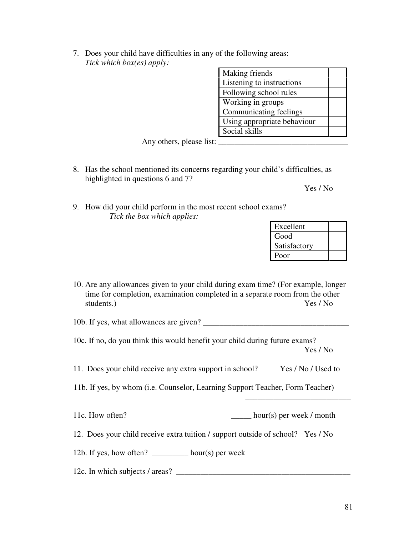7. Does your child have difficulties in any of the following areas: *Tick which box(es) apply:*

| Making friends              |  |
|-----------------------------|--|
| Listening to instructions   |  |
| Following school rules      |  |
| Working in groups           |  |
| Communicating feelings      |  |
| Using appropriate behaviour |  |
| Social skills               |  |

Any others, please list:  $\overline{\phantom{a}}$ 

8. Has the school mentioned its concerns regarding your child's difficulties, as highlighted in questions 6 and 7?

Yes / No

9. How did your child perform in the most recent school exams? *Tick the box which applies:*

| Excellent    |  |
|--------------|--|
| Good         |  |
| Satisfactory |  |
| Poor         |  |

\_\_\_\_\_\_\_\_\_\_\_\_\_\_\_\_\_\_\_\_\_\_\_\_\_\_

10. Are any allowances given to your child during exam time? (For example, longer time for completion, examination completed in a separate room from the other students.) Yes / No

10b. If yes, what allowances are given? \_\_\_\_\_\_\_\_\_\_\_\_\_\_\_\_\_\_\_\_\_\_\_\_\_\_\_\_\_\_\_\_\_\_\_\_

- 10c. If no, do you think this would benefit your child during future exams? Yes / No
- 11. Does your child receive any extra support in school? Yes / No / Used to
- 11b. If yes, by whom (i.e. Counselor, Learning Support Teacher, Form Teacher)

11c. How often? \_\_\_\_\_\_\_ hour(s) per week / month

12. Does your child receive extra tuition / support outside of school? Yes / No

12b. If yes, how often? \_\_\_\_\_\_\_\_\_ hour(s) per week

12c. In which subjects / areas?  $\frac{1}{2}$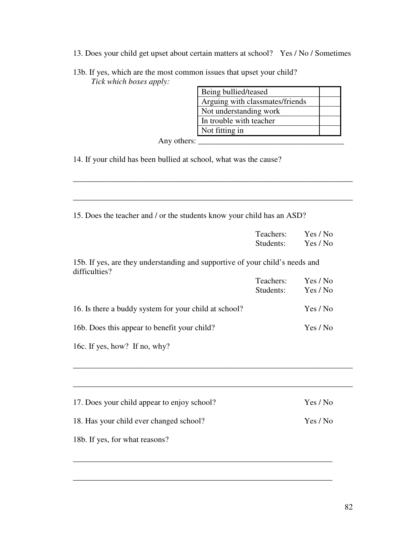13. Does your child get upset about certain matters at school? Yes / No / Sometimes

\_\_\_\_\_\_\_\_\_\_\_\_\_\_\_\_\_\_\_\_\_\_\_\_\_\_\_\_\_\_\_\_\_\_\_\_\_\_\_\_\_\_\_\_\_\_\_\_\_\_\_\_\_\_\_\_\_\_\_\_\_\_\_\_\_\_\_\_\_

\_\_\_\_\_\_\_\_\_\_\_\_\_\_\_\_\_\_\_\_\_\_\_\_\_\_\_\_\_\_\_\_\_\_\_\_\_\_\_\_\_\_\_\_\_\_\_\_\_\_\_\_\_\_\_\_\_\_\_\_\_\_\_\_\_\_\_\_\_

13b. If yes, which are the most common issues that upset your child? *Tick which boxes apply:*

| Being bullied/teased            |  |
|---------------------------------|--|
| Arguing with classmates/friends |  |
| Not understanding work          |  |
| In trouble with teacher         |  |
| Not fitting in                  |  |

Any others: \_\_\_\_\_\_\_\_\_\_\_\_\_\_\_\_\_\_\_\_\_\_\_\_\_\_\_\_\_\_\_\_\_\_\_\_

14. If your child has been bullied at school, what was the cause?

15. Does the teacher and / or the students know your child has an ASD?

|                                                                                               | Teachers:<br>Students: | Yes / No<br>Yes / No |  |  |
|-----------------------------------------------------------------------------------------------|------------------------|----------------------|--|--|
| 15b. If yes, are they understanding and supportive of your child's needs and<br>difficulties? |                        |                      |  |  |
|                                                                                               | Teachers:<br>Students: | Yes / No<br>Yes / No |  |  |
| 16. Is there a buddy system for your child at school?                                         |                        | Yes / No             |  |  |
| 16b. Does this appear to benefit your child?                                                  |                        | Yes / No             |  |  |
| 16c. If yes, how? If no, why?                                                                 |                        |                      |  |  |
|                                                                                               |                        |                      |  |  |
| 17. Does your child appear to enjoy school?                                                   |                        | Yes / No             |  |  |
| 18. Has your child ever changed school?                                                       |                        | Yes / No             |  |  |
| 18b. If yes, for what reasons?                                                                |                        |                      |  |  |

\_\_\_\_\_\_\_\_\_\_\_\_\_\_\_\_\_\_\_\_\_\_\_\_\_\_\_\_\_\_\_\_\_\_\_\_\_\_\_\_\_\_\_\_\_\_\_\_\_\_\_\_\_\_\_\_\_\_\_\_\_\_\_\_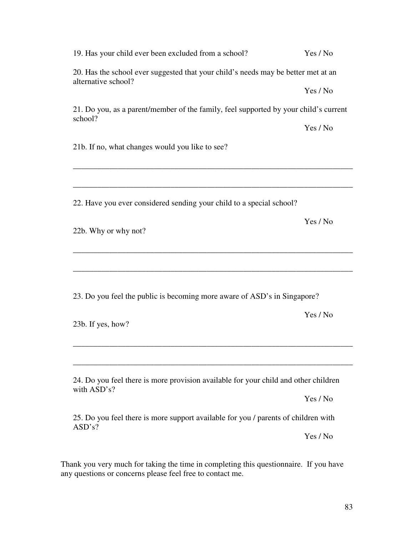| 19. Has your child ever been excluded from a school?                                                     | Yes / No |
|----------------------------------------------------------------------------------------------------------|----------|
| 20. Has the school ever suggested that your child's needs may be better met at an<br>alternative school? |          |
|                                                                                                          | Yes / No |
| 21. Do you, as a parent/member of the family, feel supported by your child's current<br>school?          |          |
|                                                                                                          | Yes / No |
| 21b. If no, what changes would you like to see?                                                          |          |
|                                                                                                          |          |
| 22. Have you ever considered sending your child to a special school?                                     |          |
| 22b. Why or why not?                                                                                     | Yes / No |
|                                                                                                          |          |
| 23. Do you feel the public is becoming more aware of ASD's in Singapore?                                 |          |
| 23b. If yes, how?                                                                                        | Yes / No |
|                                                                                                          |          |
| 24. Do you feel there is more provision available for your child and other children<br>with ASD's?       |          |
|                                                                                                          | Yes / No |
| 25. Do you feel there is more support available for you / parents of children with<br>ASD's?             |          |
|                                                                                                          | Yes / No |
| for taking the time in completing this                                                                   |          |

Thank you very much for taking the time in completing this questionnaire. If you have any questions or concerns please feel free to contact me.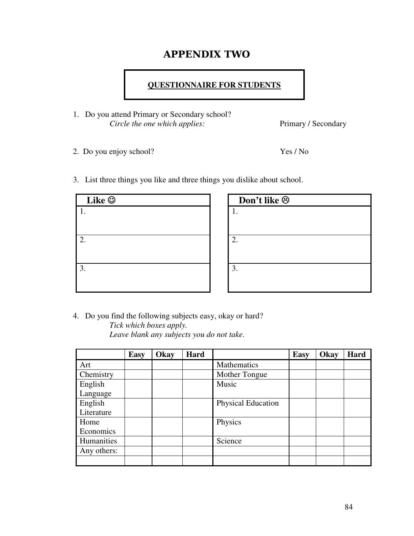# **APPENDIX TWO**

## **QUESTIONNAIRE FOR STUDENTS**

- 1. Do you attend Primary or Secondary school? *Circle the one which applies:* Primary / Secondary
- 2. Do you enjoy school? Yes / No

3. List three things you like and three things you dislike about school.

| Like $\odot$ | Don't like $\odot$ |
|--------------|--------------------|
|              |                    |
|              |                    |
| ◠            | 2.                 |
|              |                    |
| 3.           | 3.                 |
|              |                    |
|              |                    |

| Don't like $\odot$ |  |
|--------------------|--|
| 1.                 |  |
|                    |  |
| 2.                 |  |
| 3.                 |  |
|                    |  |

4. Do you find the following subjects easy, okay or hard? *Tick which boxes apply. Leave blank any subjects you do not take*.

|             | Easy | Okay | Hard |                           | <b>Easy</b> | Okay | Hard |
|-------------|------|------|------|---------------------------|-------------|------|------|
| Art         |      |      |      | Mathematics               |             |      |      |
| Chemistry   |      |      |      | Mother Tongue             |             |      |      |
| English     |      |      |      | Music                     |             |      |      |
| Language    |      |      |      |                           |             |      |      |
| English     |      |      |      | <b>Physical Education</b> |             |      |      |
| Literature  |      |      |      |                           |             |      |      |
| Home        |      |      |      | Physics                   |             |      |      |
| Economics   |      |      |      |                           |             |      |      |
| Humanities  |      |      |      | Science                   |             |      |      |
| Any others: |      |      |      |                           |             |      |      |
|             |      |      |      |                           |             |      |      |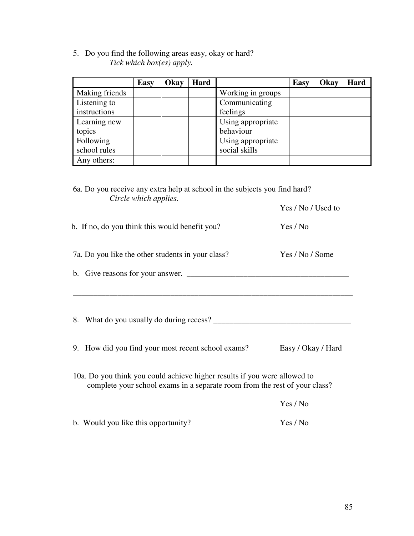5. Do you find the following areas easy, okay or hard? *Tick which box(es) apply.*

|                | <b>Easy</b> | Okay | Hard |                   | <b>Easy</b> | Okay | Hard |
|----------------|-------------|------|------|-------------------|-------------|------|------|
| Making friends |             |      |      | Working in groups |             |      |      |
| Listening to   |             |      |      | Communicating     |             |      |      |
| instructions   |             |      |      | feelings          |             |      |      |
| Learning new   |             |      |      | Using appropriate |             |      |      |
| topics         |             |      |      | behaviour         |             |      |      |
| Following      |             |      |      | Using appropriate |             |      |      |
| school rules   |             |      |      | social skills     |             |      |      |
| Any others:    |             |      |      |                   |             |      |      |

<sup>6</sup>a. Do you receive any extra help at school in the subjects you find hard? *Circle which applies*.

|  | b. If no, do you think this would benefit you? |  | Yes / No |
|--|------------------------------------------------|--|----------|
|--|------------------------------------------------|--|----------|

- 7a. Do you like the other students in your class? Yes / No / Some
- b. Give reasons for your answer.  $\Box$

\_\_\_\_\_\_\_\_\_\_\_\_\_\_\_\_\_\_\_\_\_\_\_\_\_\_\_\_\_\_\_\_\_\_\_\_\_\_\_\_\_\_\_\_\_\_\_\_\_\_\_\_\_\_\_\_\_\_\_\_\_\_\_\_\_\_\_\_\_

- 8. What do you usually do during recess? \_\_\_\_\_\_\_\_\_\_\_\_\_\_\_\_\_\_\_\_\_\_\_\_\_\_\_\_\_\_\_\_\_\_
- 9. How did you find your most recent school exams? Easy / Okay / Hard
- 10a. Do you think you could achieve higher results if you were allowed to complete your school exams in a separate room from the rest of your class?

|                                     | res / No |
|-------------------------------------|----------|
| b. Would you like this opportunity? | Yes / No |

Yes / No / Used to

 $\overline{y}$   $\overline{y}$  /  $\overline{y}$  /  $\overline{y}$  /  $\overline{y}$  /  $\overline{y}$  /  $\overline{y}$  /  $\overline{y}$  /  $\overline{y}$  /  $\overline{y}$  /  $\overline{y}$  /  $\overline{y}$  /  $\overline{y}$  /  $\overline{y}$  /  $\overline{y}$  /  $\overline{y}$  /  $\overline{y}$  /  $\overline{y}$  /  $\overline{y}$  /  $\overline{y}$  /  $\over$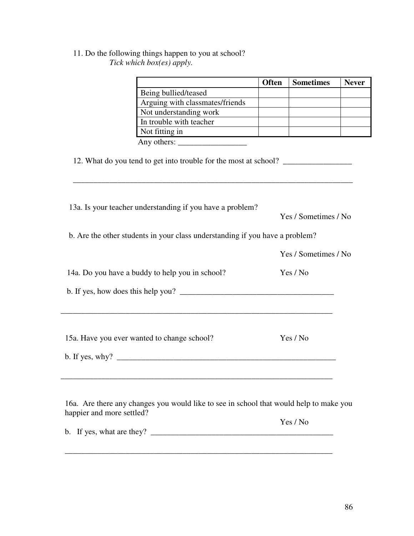## 11. Do the following things happen to you at school? *Tick which box(es) apply.*

|                                                                                                                                                                                                                                                                                  | <b>Often</b> | <b>Sometimes</b>     | <b>Never</b> |
|----------------------------------------------------------------------------------------------------------------------------------------------------------------------------------------------------------------------------------------------------------------------------------|--------------|----------------------|--------------|
| Being bullied/teased                                                                                                                                                                                                                                                             |              |                      |              |
| Arguing with classmates/friends                                                                                                                                                                                                                                                  |              |                      |              |
| Not understanding work                                                                                                                                                                                                                                                           |              |                      |              |
| In trouble with teacher                                                                                                                                                                                                                                                          |              |                      |              |
| Not fitting in https://www.archive.com/                                                                                                                                                                                                                                          |              |                      |              |
|                                                                                                                                                                                                                                                                                  |              |                      |              |
| 12. What do you tend to get into trouble for the most at school? _______________                                                                                                                                                                                                 |              |                      |              |
| 13a. Is your teacher understanding if you have a problem?                                                                                                                                                                                                                        |              | Yes / Sometimes / No |              |
| b. Are the other students in your class understanding if you have a problem?                                                                                                                                                                                                     |              |                      |              |
| Yes / Sometimes / No                                                                                                                                                                                                                                                             |              |                      |              |
| 14a. Do you have a buddy to help you in school?                                                                                                                                                                                                                                  |              | Yes / No             |              |
|                                                                                                                                                                                                                                                                                  |              |                      |              |
| 15a. Have you ever wanted to change school?                                                                                                                                                                                                                                      |              | Yes / No             |              |
|                                                                                                                                                                                                                                                                                  |              |                      |              |
| 16a. Are there any changes you would like to see in school that would help to make you<br>happier and more settled?                                                                                                                                                              |              |                      |              |
| b. If yes, what are they? $\frac{1}{2}$ [10] $\frac{1}{2}$ [10] $\frac{1}{2}$ [10] $\frac{1}{2}$ [10] $\frac{1}{2}$ [10] $\frac{1}{2}$ [10] $\frac{1}{2}$ [10] $\frac{1}{2}$ [10] $\frac{1}{2}$ [10] $\frac{1}{2}$ [10] $\frac{1}{2}$ [10] $\frac{1}{2}$ [10] $\frac{1}{2}$ [10] |              | Yes / No             |              |

\_\_\_\_\_\_\_\_\_\_\_\_\_\_\_\_\_\_\_\_\_\_\_\_\_\_\_\_\_\_\_\_\_\_\_\_\_\_\_\_\_\_\_\_\_\_\_\_\_\_\_\_\_\_\_\_\_\_\_\_\_\_\_\_\_\_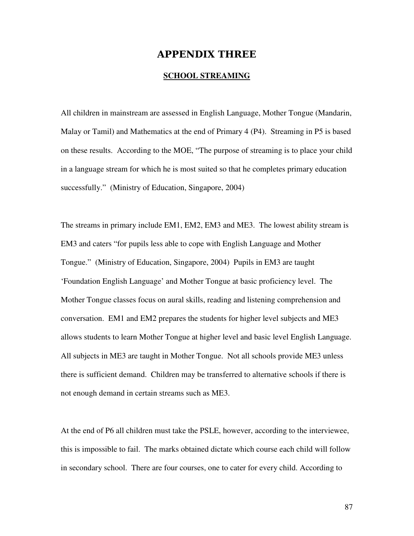## **APPENDIX THREE**

### **SCHOOL STREAMING**

All children in mainstream are assessed in English Language, Mother Tongue (Mandarin, Malay or Tamil) and Mathematics at the end of Primary 4 (P4). Streaming in P5 is based on these results. According to the MOE, "The purpose of streaming is to place your child in a language stream for which he is most suited so that he completes primary education successfully." (Ministry of Education, Singapore, 2004)

The streams in primary include EM1, EM2, EM3 and ME3. The lowest ability stream is EM3 and caters "for pupils less able to cope with English Language and Mother Tongue." (Ministry of Education, Singapore, 2004) Pupils in EM3 are taught 'Foundation English Language' and Mother Tongue at basic proficiency level. The Mother Tongue classes focus on aural skills, reading and listening comprehension and conversation. EM1 and EM2 prepares the students for higher level subjects and ME3 allows students to learn Mother Tongue at higher level and basic level English Language. All subjects in ME3 are taught in Mother Tongue. Not all schools provide ME3 unless there is sufficient demand. Children may be transferred to alternative schools if there is not enough demand in certain streams such as ME3.

At the end of P6 all children must take the PSLE, however, according to the interviewee, this is impossible to fail. The marks obtained dictate which course each child will follow in secondary school. There are four courses, one to cater for every child. According to

87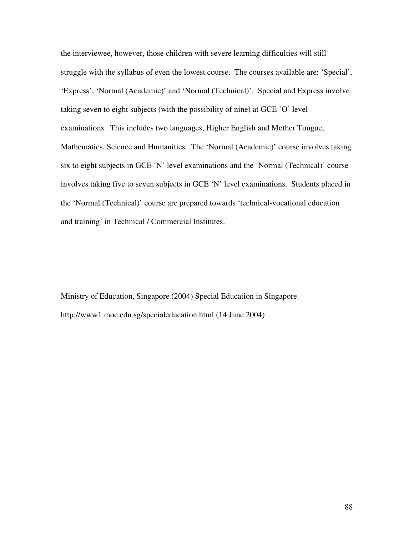the interviewee, however, those children with severe learning difficulties will still struggle with the syllabus of even the lowest course. The courses available are: 'Special', 'Express', 'Normal (Academic)' and 'Normal (Technical)'. Special and Express involve taking seven to eight subjects (with the possibility of nine) at GCE 'O' level examinations. This includes two languages, Higher English and Mother Tongue, Mathematics, Science and Humanities. The 'Normal (Academic)' course involves taking six to eight subjects in GCE 'N' level examinations and the 'Normal (Technical)' course involves taking five to seven subjects in GCE 'N' level examinations. Students placed in the 'Normal (Technical)' course are prepared towards 'technical-vocational education and training' in Technical / Commercial Institutes.

Ministry of Education, Singapore (2004) Special Education in Singapore. http://www1.moe.edu.sg/specialeducation.html (14 June 2004)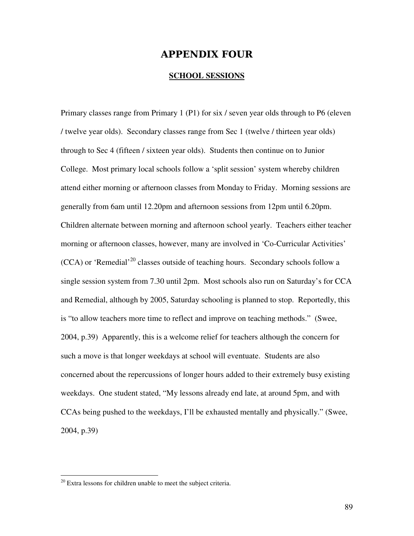## **APPENDIX FOUR**

## **SCHOOL SESSIONS**

Primary classes range from Primary 1 (P1) for six / seven year olds through to P6 (eleven / twelve year olds). Secondary classes range from Sec 1 (twelve / thirteen year olds) through to Sec 4 (fifteen / sixteen year olds). Students then continue on to Junior College. Most primary local schools follow a 'split session' system whereby children attend either morning or afternoon classes from Monday to Friday. Morning sessions are generally from 6am until 12.20pm and afternoon sessions from 12pm until 6.20pm. Children alternate between morning and afternoon school yearly. Teachers either teacher morning or afternoon classes, however, many are involved in 'Co-Curricular Activities'  $(CCA)$  or 'Remedial'<sup>20</sup> classes outside of teaching hours. Secondary schools follow a single session system from 7.30 until 2pm. Most schools also run on Saturday's for CCA and Remedial, although by 2005, Saturday schooling is planned to stop. Reportedly, this is "to allow teachers more time to reflect and improve on teaching methods." (Swee, 2004, p.39) Apparently, this is a welcome relief for teachers although the concern for such a move is that longer weekdays at school will eventuate. Students are also concerned about the repercussions of longer hours added to their extremely busy existing weekdays. One student stated, "My lessons already end late, at around 5pm, and with CCAs being pushed to the weekdays, I'll be exhausted mentally and physically." (Swee, 2004, p.39)

 $20$  Extra lessons for children unable to meet the subject criteria.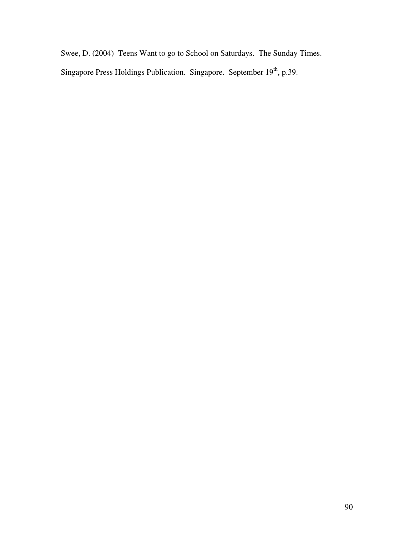Swee, D. (2004) Teens Want to go to School on Saturdays. The Sunday Times. Singapore Press Holdings Publication. Singapore. September 19<sup>th</sup>, p.39.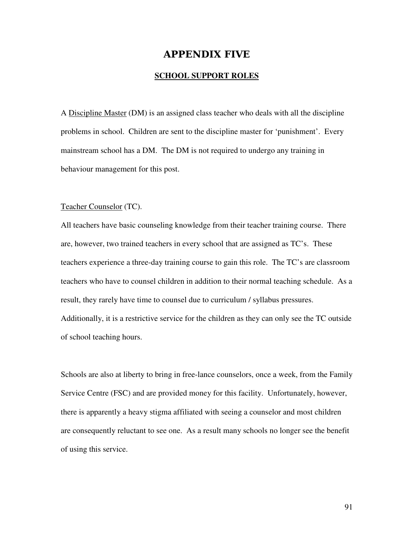## **APPENDIX FIVE**

## **SCHOOL SUPPORT ROLES**

A Discipline Master (DM) is an assigned class teacher who deals with all the discipline problems in school. Children are sent to the discipline master for 'punishment'. Every mainstream school has a DM. The DM is not required to undergo any training in behaviour management for this post.

#### Teacher Counselor (TC).

All teachers have basic counseling knowledge from their teacher training course. There are, however, two trained teachers in every school that are assigned as TC's. These teachers experience a three-day training course to gain this role. The TC's are classroom teachers who have to counsel children in addition to their normal teaching schedule. As a result, they rarely have time to counsel due to curriculum / syllabus pressures. Additionally, it is a restrictive service for the children as they can only see the TC outside of school teaching hours.

Schools are also at liberty to bring in free-lance counselors, once a week, from the Family Service Centre (FSC) and are provided money for this facility. Unfortunately, however, there is apparently a heavy stigma affiliated with seeing a counselor and most children are consequently reluctant to see one. As a result many schools no longer see the benefit of using this service.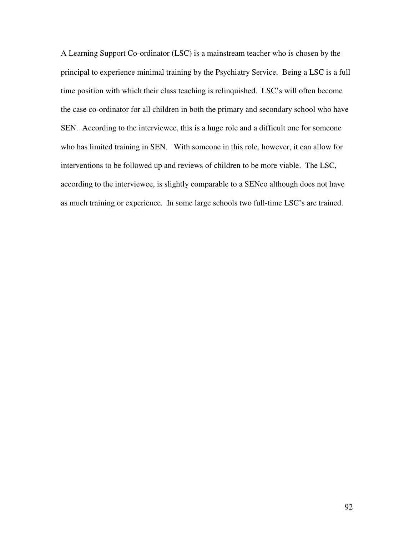A Learning Support Co-ordinator (LSC) is a mainstream teacher who is chosen by the principal to experience minimal training by the Psychiatry Service. Being a LSC is a full time position with which their class teaching is relinquished. LSC's will often become the case co-ordinator for all children in both the primary and secondary school who have SEN. According to the interviewee, this is a huge role and a difficult one for someone who has limited training in SEN. With someone in this role, however, it can allow for interventions to be followed up and reviews of children to be more viable. The LSC, according to the interviewee, is slightly comparable to a SENco although does not have as much training or experience. In some large schools two full-time LSC's are trained.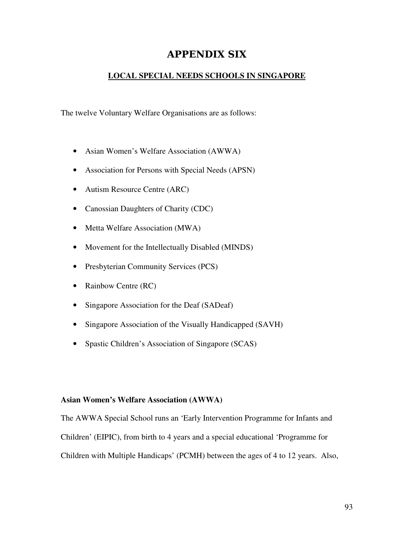## **APPENDIX SIX**

## **LOCAL SPECIAL NEEDS SCHOOLS IN SINGAPORE**

The twelve Voluntary Welfare Organisations are as follows:

- Asian Women's Welfare Association (AWWA)
- Association for Persons with Special Needs (APSN)
- Autism Resource Centre (ARC)
- Canossian Daughters of Charity (CDC)
- Metta Welfare Association (MWA)
- Movement for the Intellectually Disabled (MINDS)
- Presbyterian Community Services (PCS)
- Rainbow Centre (RC)
- Singapore Association for the Deaf (SADeaf)
- Singapore Association of the Visually Handicapped (SAVH)
- Spastic Children's Association of Singapore (SCAS)

## **Asian Women's Welfare Association (AWWA)**

The AWWA Special School runs an 'Early Intervention Programme for Infants and Children' (EIPIC), from birth to 4 years and a special educational 'Programme for Children with Multiple Handicaps' (PCMH) between the ages of 4 to 12 years. Also,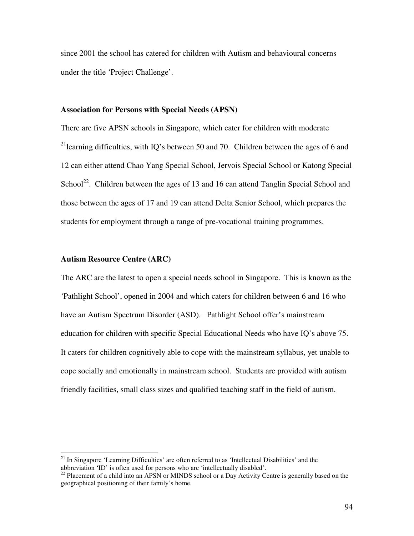since 2001 the school has catered for children with Autism and behavioural concerns under the title 'Project Challenge'.

### **Association for Persons with Special Needs (APSN)**

There are five APSN schools in Singapore, which cater for children with moderate <sup>21</sup>learning difficulties, with IQ's between 50 and 70. Children between the ages of 6 and 12 can either attend Chao Yang Special School, Jervois Special School or Katong Special School<sup>22</sup>. Children between the ages of 13 and 16 can attend Tanglin Special School and those between the ages of 17 and 19 can attend Delta Senior School, which prepares the students for employment through a range of pre-vocational training programmes.

### **Autism Resource Centre (ARC)**

The ARC are the latest to open a special needs school in Singapore. This is known as the 'Pathlight School', opened in 2004 and which caters for children between 6 and 16 who have an Autism Spectrum Disorder (ASD). Pathlight School offer's mainstream education for children with specific Special Educational Needs who have IQ's above 75. It caters for children cognitively able to cope with the mainstream syllabus, yet unable to cope socially and emotionally in mainstream school. Students are provided with autism friendly facilities, small class sizes and qualified teaching staff in the field of autism.

<sup>&</sup>lt;sup>21</sup> In Singapore 'Learning Difficulties' are often referred to as 'Intellectual Disabilities' and the abbreviation 'ID' is often used for persons who are 'intellectually disabled'.<br><sup>22</sup> Placement of a child into an APSN or MINDS school or a Day Activity Centre is generally based on the

geographical positioning of their family's home.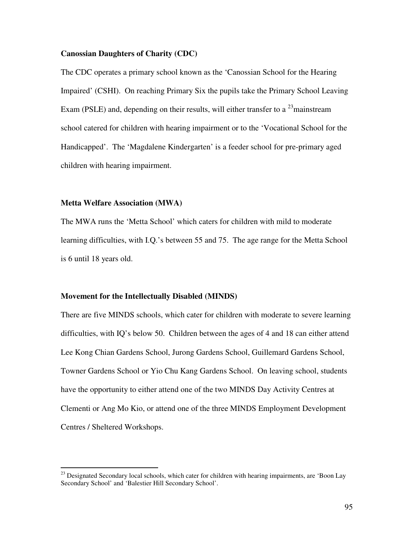## **Canossian Daughters of Charity (CDC)**

The CDC operates a primary school known as the 'Canossian School for the Hearing Impaired' (CSHI). On reaching Primary Six the pupils take the Primary School Leaving Exam (PSLE) and, depending on their results, will either transfer to a  $^{23}$  mainstream school catered for children with hearing impairment or to the 'Vocational School for the Handicapped'. The 'Magdalene Kindergarten' is a feeder school for pre-primary aged children with hearing impairment.

## **Metta Welfare Association (MWA)**

The MWA runs the 'Metta School' which caters for children with mild to moderate learning difficulties, with I.Q.'s between 55 and 75. The age range for the Metta School is 6 until 18 years old.

#### **Movement for the Intellectually Disabled (MINDS)**

There are five MINDS schools, which cater for children with moderate to severe learning difficulties, with IQ's below 50. Children between the ages of 4 and 18 can either attend Lee Kong Chian Gardens School, Jurong Gardens School, Guillemard Gardens School, Towner Gardens School or Yio Chu Kang Gardens School. On leaving school, students have the opportunity to either attend one of the two MINDS Day Activity Centres at Clementi or Ang Mo Kio, or attend one of the three MINDS Employment Development Centres / Sheltered Workshops.

<sup>&</sup>lt;sup>23</sup> Designated Secondary local schools, which cater for children with hearing impairments, are 'Boon Lay Secondary School' and 'Balestier Hill Secondary School'.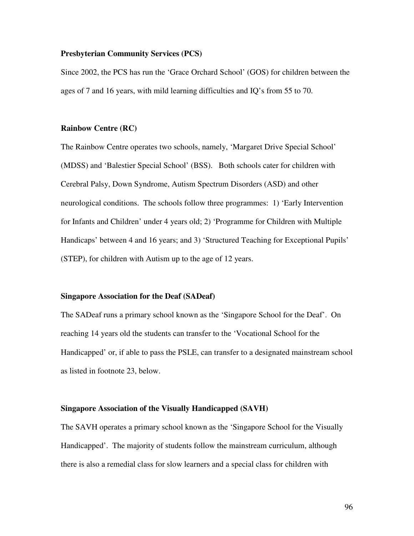### **Presbyterian Community Services (PCS)**

Since 2002, the PCS has run the 'Grace Orchard School' (GOS) for children between the ages of 7 and 16 years, with mild learning difficulties and IQ's from 55 to 70.

### **Rainbow Centre (RC)**

The Rainbow Centre operates two schools, namely, 'Margaret Drive Special School' (MDSS) and 'Balestier Special School' (BSS). Both schools cater for children with Cerebral Palsy, Down Syndrome, Autism Spectrum Disorders (ASD) and other neurological conditions. The schools follow three programmes: 1) 'Early Intervention for Infants and Children' under 4 years old; 2) 'Programme for Children with Multiple Handicaps' between 4 and 16 years; and 3) 'Structured Teaching for Exceptional Pupils' (STEP), for children with Autism up to the age of 12 years.

#### **Singapore Association for the Deaf (SADeaf)**

The SADeaf runs a primary school known as the 'Singapore School for the Deaf'. On reaching 14 years old the students can transfer to the 'Vocational School for the Handicapped' or, if able to pass the PSLE, can transfer to a designated mainstream school as listed in footnote 23, below.

#### **Singapore Association of the Visually Handicapped (SAVH)**

The SAVH operates a primary school known as the 'Singapore School for the Visually Handicapped'. The majority of students follow the mainstream curriculum, although there is also a remedial class for slow learners and a special class for children with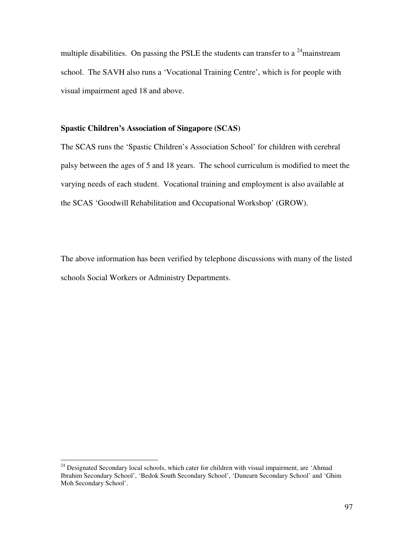multiple disabilities. On passing the PSLE the students can transfer to a  $24$  mainstream school. The SAVH also runs a 'Vocational Training Centre', which is for people with visual impairment aged 18 and above.

## **Spastic Children's Association of Singapore (SCAS)**

The SCAS runs the 'Spastic Children's Association School' for children with cerebral palsy between the ages of 5 and 18 years. The school curriculum is modified to meet the varying needs of each student. Vocational training and employment is also available at the SCAS 'Goodwill Rehabilitation and Occupational Workshop' (GROW).

The above information has been verified by telephone discussions with many of the listed schools Social Workers or Administry Departments.

 $24$  Designated Secondary local schools, which cater for children with visual impairment, are 'Ahmad Ibrahim Secondary School', 'Bedok South Secondary School', 'Dunearn Secondary School' and 'Ghim Moh Secondary School'.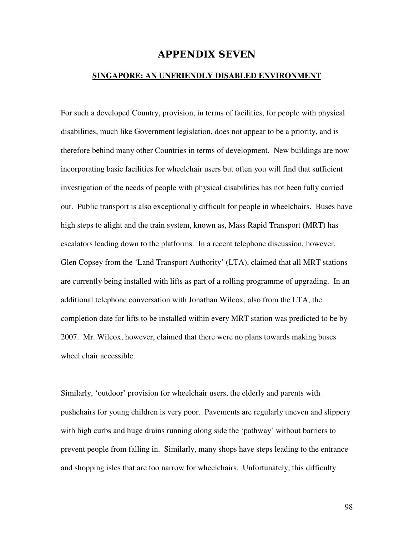## **APPENDIX SEVEN**

## **SINGAPORE: AN UNFRIENDLY DISABLED ENVIRONMENT**

For such a developed Country, provision, in terms of facilities, for people with physical disabilities, much like Government legislation, does not appear to be a priority, and is therefore behind many other Countries in terms of development. New buildings are now incorporating basic facilities for wheelchair users but often you will find that sufficient investigation of the needs of people with physical disabilities has not been fully carried out. Public transport is also exceptionally difficult for people in wheelchairs. Buses have high steps to alight and the train system, known as, Mass Rapid Transport (MRT) has escalators leading down to the platforms. In a recent telephone discussion, however, Glen Copsey from the 'Land Transport Authority' (LTA), claimed that all MRT stations are currently being installed with lifts as part of a rolling programme of upgrading. In an additional telephone conversation with Jonathan Wilcox, also from the LTA, the completion date for lifts to be installed within every MRT station was predicted to be by 2007. Mr. Wilcox, however, claimed that there were no plans towards making buses wheel chair accessible.

Similarly, 'outdoor' provision for wheelchair users, the elderly and parents with pushchairs for young children is very poor. Pavements are regularly uneven and slippery with high curbs and huge drains running along side the 'pathway' without barriers to prevent people from falling in. Similarly, many shops have steps leading to the entrance and shopping isles that are too narrow for wheelchairs. Unfortunately, this difficulty

98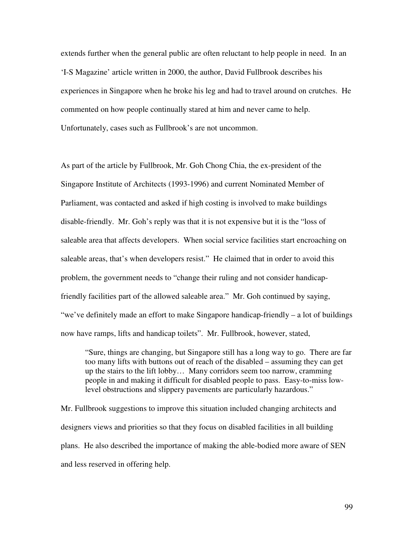extends further when the general public are often reluctant to help people in need. In an 'I-S Magazine' article written in 2000, the author, David Fullbrook describes his experiences in Singapore when he broke his leg and had to travel around on crutches. He commented on how people continually stared at him and never came to help. Unfortunately, cases such as Fullbrook's are not uncommon.

As part of the article by Fullbrook, Mr. Goh Chong Chia, the ex-president of the Singapore Institute of Architects (1993-1996) and current Nominated Member of Parliament, was contacted and asked if high costing is involved to make buildings disable-friendly. Mr. Goh's reply was that it is not expensive but it is the "loss of saleable area that affects developers. When social service facilities start encroaching on saleable areas, that's when developers resist." He claimed that in order to avoid this problem, the government needs to "change their ruling and not consider handicapfriendly facilities part of the allowed saleable area." Mr. Goh continued by saying, "we've definitely made an effort to make Singapore handicap-friendly – a lot of buildings now have ramps, lifts and handicap toilets". Mr. Fullbrook, however, stated,

"Sure, things are changing, but Singapore still has a long way to go. There are far too many lifts with buttons out of reach of the disabled – assuming they can get up the stairs to the lift lobby… Many corridors seem too narrow, cramming people in and making it difficult for disabled people to pass. Easy-to-miss lowlevel obstructions and slippery pavements are particularly hazardous."

Mr. Fullbrook suggestions to improve this situation included changing architects and designers views and priorities so that they focus on disabled facilities in all building plans. He also described the importance of making the able-bodied more aware of SEN and less reserved in offering help.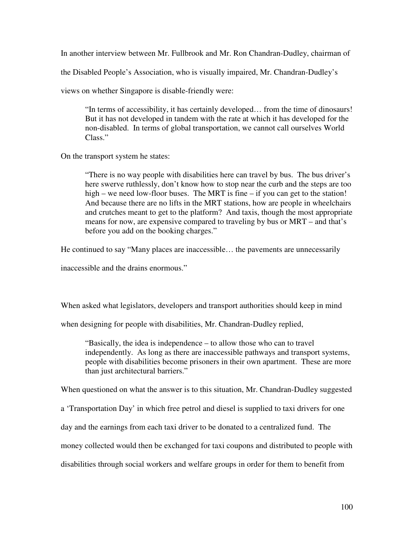In another interview between Mr. Fullbrook and Mr. Ron Chandran-Dudley, chairman of

the Disabled People's Association, who is visually impaired, Mr. Chandran-Dudley's

views on whether Singapore is disable-friendly were:

"In terms of accessibility, it has certainly developed… from the time of dinosaurs! But it has not developed in tandem with the rate at which it has developed for the non-disabled. In terms of global transportation, we cannot call ourselves World Class."

On the transport system he states:

"There is no way people with disabilities here can travel by bus. The bus driver's here swerve ruthlessly, don't know how to stop near the curb and the steps are too high – we need low-floor buses. The MRT is fine – if you can get to the station! And because there are no lifts in the MRT stations, how are people in wheelchairs and crutches meant to get to the platform? And taxis, though the most appropriate means for now, are expensive compared to traveling by bus or MRT – and that's before you add on the booking charges."

He continued to say "Many places are inaccessible… the pavements are unnecessarily

inaccessible and the drains enormous."

When asked what legislators, developers and transport authorities should keep in mind

when designing for people with disabilities, Mr. Chandran-Dudley replied,

"Basically, the idea is independence – to allow those who can to travel independently. As long as there are inaccessible pathways and transport systems, people with disabilities become prisoners in their own apartment. These are more than just architectural barriers."

When questioned on what the answer is to this situation, Mr. Chandran-Dudley suggested

a 'Transportation Day' in which free petrol and diesel is supplied to taxi drivers for one

day and the earnings from each taxi driver to be donated to a centralized fund. The

money collected would then be exchanged for taxi coupons and distributed to people with

disabilities through social workers and welfare groups in order for them to benefit from